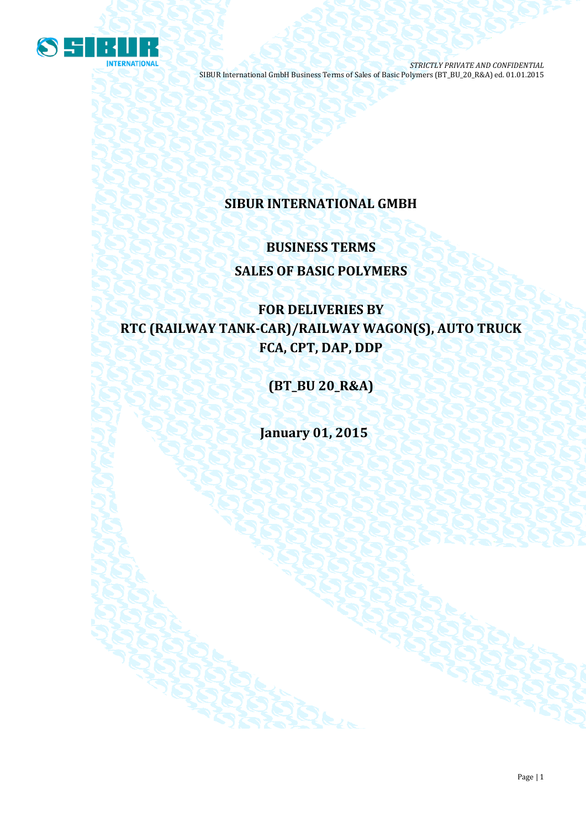

# **SIBUR INTERNATIONAL GMBH**

# **BUSINESS TERMS SALES OF BASIC POLYMERS**

# **FOR DELIVERIES BY RTC (RAILWAY TANK-CAR)/RAILWAY WAGON(S), AUTO TRUCK FCA, CPT, DAP, DDP**

**(BT\_BU 20\_R&A)**

**January 01, 2015**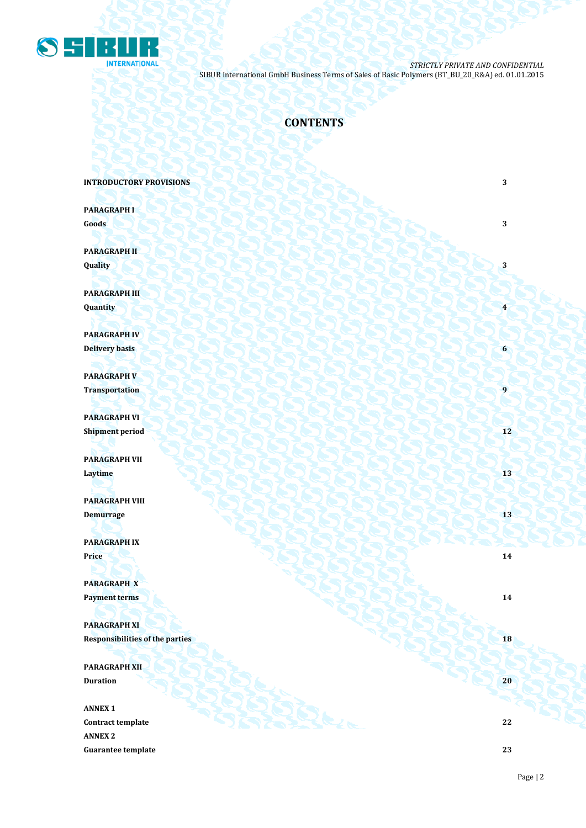

# **CONTENTS**

**INTRODUCTORY PROVISIONS** 3

**PARAGRAPH I Goods 3 3** 

**PARAGRAPH II Quality 3**

**PARAGRAPH III Quantity 4**

**PARAGRAPH IV Delivery basis 6**

**PARAGRAPH V Transportation** 

**PARAGRAPH VI Shipment period 12**

**PARAGRAPH VII Laytime 13**

**PARAGRAPH VIII Demurrage** 13

**PARAGRAPH IX Price 14 14** 

**PARAGRAPH X Payment terms 14** 

**PARAGRAPH XI Responsibilities of the parties 18** 

**PARAGRAPH XII Duration 20 20 20** 

**ANNEX 1 Contract template 22 ANNEX 2 Guarantee template 23**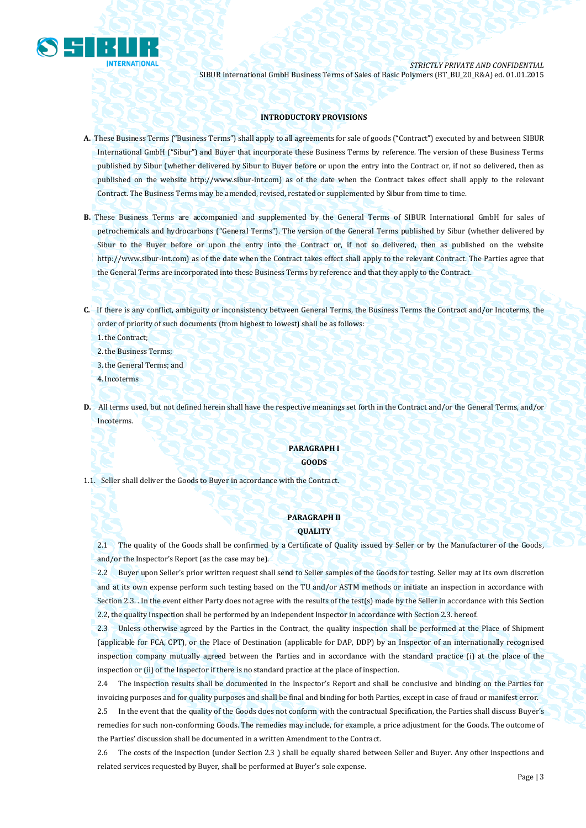

# **INTRODUCTORY PROVISIONS**

- **A.** These Business Terms ("Business Terms") shall apply to all agreements for sale of goods ("Contract") executed by and between SIBUR International GmbH ("Sibur") and Buyer that incorporate these Business Terms by reference. The version of these Business Terms published by Sibur (whether delivered by Sibur to Buyer before or upon the entry into the Contract or, if not so delivered, then as published on the website [http://www.sibur-int.com\)](http://www.sibur-int.com/) as of the date when the Contract takes effect shall apply to the relevant Contract. The Business Terms may be amended, revised, restated or supplemented by Sibur from time to time.
- **B.** These Business Terms are accompanied and supplemented by the General Terms of SIBUR International GmbH for sales of petrochemicals and hydrocarbons ("General Terms"). The version of the General Terms published by Sibur (whether delivered by Sibur to the Buyer before or upon the entry into the Contract or, if not so delivered, then as published on the website [http://www.sibur-int.com\)](http://www.sibur-int.com/) as of the date when the Contract takes effect shall apply to the relevant Contract. The Parties agree that the General Terms are incorporated into these Business Terms by reference and that they apply to the Contract.
- **C.** If there is any conflict, ambiguity or inconsistency between General Terms, the Business Terms the Contract and/or Incoterms, the order of priority of such documents (from highest to lowest) shall be as follows:

1.the Contract;

2.the Business Terms;

3.the General Terms; and

4.Incoterms

**D.** All terms used, but not defined herein shall have the respective meanings set forth in the Contract and/or the General Terms, and/or Incoterms.

## **PARAGRAPH I GOODS**

1.1. Seller shall deliver the Goods to Buyer in accordance with the Contract.

# **PARAGRAPH II QUALITY**

2.1 The quality of the Goods shall be confirmed by a Certificate of Quality issued by Seller or by the Manufacturer of the Goods, and/or the Inspector's Report (as the case may be).

2.2 Buyer upon Seller's prior written request shall send to Seller samples of the Goods for testing. Seller may at its own discretion and at its own expense perform such testing based on the TU and/or ASTM methods or initiate an inspection in accordance with Section 2.3. . In the event either Party does not agree with the results of the test(s) made by the Seller in accordance with this Section 2.2, the quality inspection shall be performed by an independent Inspector in accordance with Section 2.3. hereof.

2.3 Unless otherwise agreed by the Parties in the Contract, the quality inspection shall be performed at the Place of Shipment (applicable for FCA, CPT), or the Place of Destination (applicable for DAP, DDP) by an Inspector of an internationally recognised inspection company mutually agreed between the Parties and in accordance with the standard practice (i) at the place of the inspection or (ii) of the Inspector if there is no standard practice at the place of inspection.

2.4 The inspection results shall be documented in the Inspector's Report and shall be conclusive and binding on the Parties for invoicing purposes and for quality purposes and shall be final and binding for both Parties, except in case of fraud or manifest error.

2.5 In the event that the quality of the Goods does not conform with the contractual Specification, the Parties shall discuss Buyer's remedies for such non-conforming Goods. The remedies may include, for example, a price adjustment for the Goods. The outcome of the Parties' discussion shall be documented in a written Amendment to the Contract.

2.6 The costs of the inspection (under Section 2.3 ) shall be equally shared between Seller and Buyer. Any other inspections and related services requested by Buyer, shall be performed at Buyer's sole expense.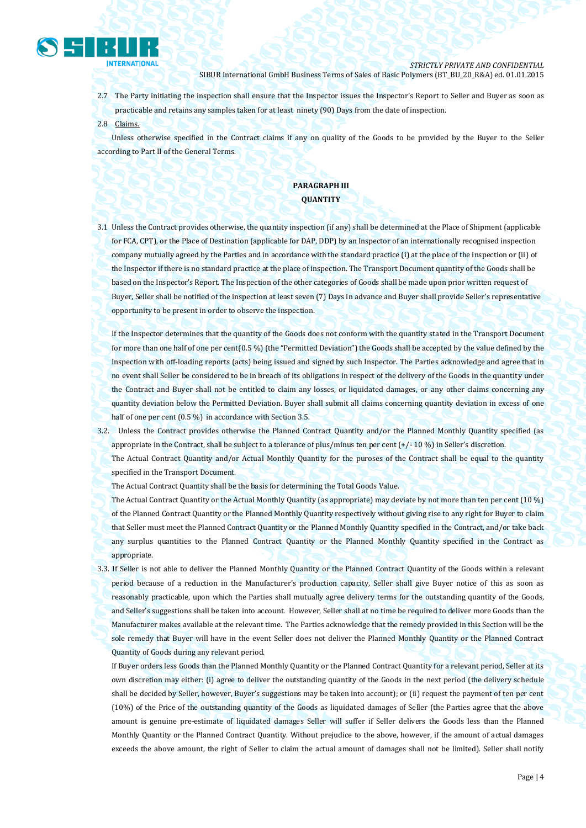

- 2.7 The Party initiating the inspection shall ensure that the Inspector issues the Inspector's Report to Seller and Buyer as soon as practicable and retains any samples taken for at least ninety (90) Days from the date of inspection.
- 2.8 Claims.

Unless otherwise specified in the Contract claims if any on quality of the Goods to be provided by the Buyer to the Seller according to Part II of the General Terms.

# **PARAGRAPH III QUANTITY**

3.1 Unless the Contract provides otherwise, the quantity inspection (if any) shall be determined at the Place of Shipment (applicable for FCA, CPT), or the Place of Destination (applicable for DAP, DDP) by an Inspector of an internationally recognised inspection company mutually agreed by the Parties and in accordance with the standard practice (i) at the place of the inspection or (ii) of the Inspector if there is no standard practice at the place of inspection. The Transport Document quantity of the Goods shall be based on the Inspector's Report. The Inspection of the other categories of Goods shall be made upon prior written request of Buyer, Seller shall be notified of the inspection at least seven (7) Days in advance and Buyer shall provide Seller's representative opportunity to be present in order to observe the inspection.

If the Inspector determines that the quantity of the Goods does not conform with the quantity stated in the Transport Document for more than one half of one per cent(0.5 %) (the "Permitted Deviation") the Goods shall be accepted by the value defined by the Inspection with off-loading reports (acts) being issued and signed by such Inspector. The Parties acknowledge and agree that in no event shall Seller be considered to be in breach of its obligations in respect of the delivery of the Goods in the quantity under the Contract and Buyer shall not be entitled to claim any losses, or liquidated damages, or any other claims concerning any quantity deviation below the Permitted Deviation. Buyer shall submit all claims concerning quantity deviation in excess of one half of one per cent (0.5 %) in accordance with Section 3.5.

3.2. Unless the Contract provides otherwise the Planned Contract Quantity and/or the Planned Monthly Quantity specified (as appropriate in the Contract, shall be subject to a tolerance of plus/minus ten per cent (+/- 10 %) in Seller's discretion.

The Actual Contract Quantity and/or Actual Monthly Quantity for the puroses of the Contract shall be equal to the quantity specified in the Transport Document.

The Actual Contract Quantity shall be the basis for determining the Total Goods Value.

The Actual Contract Quantity or the Actual Monthly Quantity (as appropriate) may deviate by not more than ten per cent (10 %) of the Planned Contract Quantity or the Planned Monthly Quantity respectively without giving rise to any right for Buyer to claim that Seller must meet the Planned Contract Quantity or the Planned Monthly Quantity specified in the Contract, and/or take back any surplus quantities to the Planned Contract Quantity or the Planned Monthly Quantity specified in the Contract as appropriate.

3.3. If Seller is not able to deliver the Planned Monthly Quantity or the Planned Contract Quantity of the Goods within a relevant period because of a reduction in the Manufacturer's production capacity, Seller shall give Buyer notice of this as soon as reasonably practicable, upon which the Parties shall mutually agree delivery terms for the outstanding quantity of the Goods, and Seller's suggestions shall be taken into account. However, Seller shall at no time be required to deliver more Goods than the Manufacturer makes available at the relevant time. The Parties acknowledge that the remedy provided in this Section will be the sole remedy that Buyer will have in the event Seller does not deliver the Planned Monthly Quantity or the Planned Contract Quantity of Goods during any relevant period.

If Buyer orders less Goods than the Planned Monthly Quantity or the Planned Contract Quantity for a relevant period, Seller at its own discretion may either: (i) agree to deliver the outstanding quantity of the Goods in the next period (the delivery schedule shall be decided by Seller, however, Buyer's suggestions may be taken into account); or (ii) request the payment of ten per cent (10%) of the Price of the outstanding quantity of the Goods as liquidated damages of Seller (the Parties agree that the above amount is genuine pre-estimate of liquidated damages Seller will suffer if Seller delivers the Goods less than the Planned Monthly Quantity or the Planned Contract Quantity. Without prejudice to the above, however, if the amount of actual damages exceeds the above amount, the right of Seller to claim the actual amount of damages shall not be limited). Seller shall notify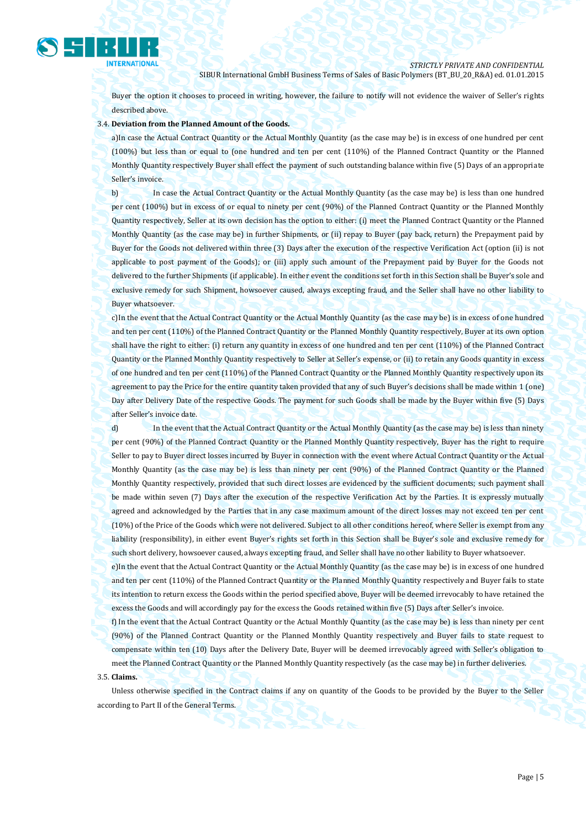

Buyer the option it chooses to proceed in writing, however, the failure to notify will not evidence the waiver of Seller's rights described above.

# 3.4. **Deviation from the Planned Amount of the Goods.**

a)In case the Actual Contract Quantity or the Actual Monthly Quantity (as the case may be) is in excess of one hundred per cent (100%) but less than or equal to (one hundred and ten per cent (110%) of the Planned Contract Quantity or the Planned Monthly Quantity respectively Buyer shall effect the payment of such outstanding balance within five (5) Days of an appropriate Seller's invoice.

b) In case the Actual Contract Quantity or the Actual Monthly Quantity (as the case may be) is less than one hundred per cent (100%) but in excess of or equal to ninety per cent (90%) of the Planned Contract Quantity or the Planned Monthly Quantity respectively, Seller at its own decision has the option to either: (i) meet the Planned Contract Quantity or the Planned Monthly Quantity (as the case may be) in further Shipments, or (ii) repay to Buyer (pay back, return) the Prepayment paid by Buyer for the Goods not delivered within three (3) Days after the execution of the respective Verification Act (option (ii) is not applicable to post payment of the Goods); or (iii) apply such amount of the Prepayment paid by Buyer for the Goods not delivered to the further Shipments (if applicable). In either event the conditions set forth in this Section shall be Buyer's sole and exclusive remedy for such Shipment, howsoever caused, always excepting fraud, and the Seller shall have no other liability to Buyer whatsoever.

c)In the event that the Actual Contract Quantity or the Actual Monthly Quantity (as the case may be) is in excess of one hundred and ten per cent (110%) of the Planned Contract Quantity or the Planned Monthly Quantity respectively, Buyer at its own option shall have the right to either: (i) return any quantity in excess of one hundred and ten per cent (110%) of the Planned Contract Quantity or the Planned Monthly Quantity respectively to Seller at Seller's expense, or (ii) to retain any Goods quantity in excess of one hundred and ten per cent (110%) of the Planned Contract Quantity or the Planned Monthly Quantity respectively upon its agreement to pay the Price for the entire quantity taken provided that any of such Buyer's decisions shall be made within 1 (one) Day after Delivery Date of the respective Goods. The payment for such Goods shall be made by the Buyer within five (5) Days after Seller's invoice date.

d) In the event that the Actual Contract Quantity or the Actual Monthly Quantity (as the case may be) is less than ninety per cent (90%) of the Planned Contract Quantity or the Planned Monthly Quantity respectively, Buyer has the right to require Seller to pay to Buyer direct losses incurred by Buyer in connection with the event where Actual Contract Quantity or the Actual Monthly Quantity (as the case may be) is less than ninety per cent (90%) of the Planned Contract Quantity or the Planned Monthly Quantity respectively, provided that such direct losses are evidenced by the sufficient documents; such payment shall be made within seven (7) Days after the execution of the respective Verification Act by the Parties. It is expressly mutually agreed and acknowledged by the Parties that in any case maximum amount of the direct losses may not exceed ten per cent (10%) of the Price of the Goods which were not delivered. Subject to all other conditions hereof, where Seller is exempt from any liability (responsibility), in either event Buyer's rights set forth in this Section shall be Buyer's sole and exclusive remedy for such short delivery, howsoever caused, always excepting fraud, and Seller shall have no other liability to Buyer whatsoever.

e)In the event that the Actual Contract Quantity or the Actual Monthly Quantity (as the case may be) is in excess of one hundred and ten per cent (110%) of the Planned Contract Quantity or the Planned Monthly Quantity respectively and Buyer fails to state its intention to return excess the Goods within the period specified above, Buyer will be deemed irrevocably to have retained the excess the Goods and will accordingly pay for the excess the Goods retained within five (5) Days after Seller's invoice.

f) In the event that the Actual Contract Quantity or the Actual Monthly Quantity (as the case may be) is less than ninety per cent (90%) of the Planned Contract Quantity or the Planned Monthly Quantity respectively and Buyer fails to state request to compensate within ten (10) Days after the Delivery Date, Buyer will be deemed irrevocably agreed with Seller's obligation to meet the Planned Contract Quantity or the Planned Monthly Quantity respectively (as the case may be) in further deliveries. 3.5. **Claims.** 

# Unless otherwise specified in the Contract claims if any on quantity of the Goods to be provided by the Buyer to the Seller according to Part II of the General Terms.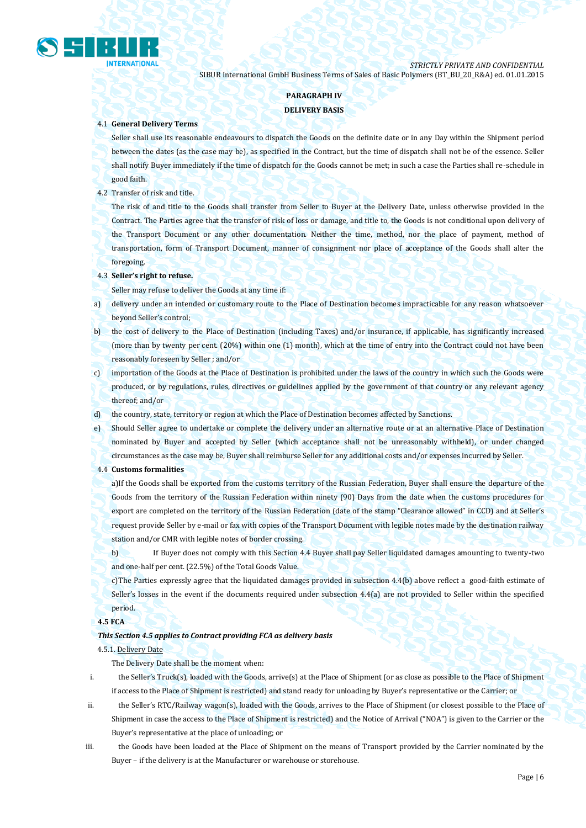

# **PARAGRAPH IV**

# **DELIVERY BASIS**

# 4.1 **General Delivery Terms**

Seller shall use its reasonable endeavours to dispatch the Goods on the definite date or in any Day within the Shipment period between the dates (as the case may be), as specified in the Contract, but the time of dispatch shall not be of the essence. Seller shall notify Buyer immediately if the time of dispatch for the Goods cannot be met; in such a case the Parties shall re-schedule in good faith.

# 4.2 Transfer of risk and title.

The risk of and title to the Goods shall transfer from Seller to Buyer at the Delivery Date, unless otherwise provided in the Contract. The Parties agree that the transfer of risk of loss or damage, and title to, the Goods is not conditional upon delivery of the Transport Document or any other documentation. Neither the time, method, nor the place of payment, method of transportation, form of Transport Document, manner of consignment nor place of acceptance of the Goods shall alter the foregoing.

# 4.3 **Seller's right to refuse.**

Seller may refuse to deliver the Goods at any time if:

- a) delivery under an intended or customary route to the Place of Destination becomes impracticable for any reason whatsoever beyond Seller's control;
- b) the cost of delivery to the Place of Destination (including Taxes) and/or insurance, if applicable, has significantly increased (more than by twenty per cent. (20%) within one (1) month), which at the time of entry into the Contract could not have been reasonably foreseen by Seller ; and/or
- c) importation of the Goods at the Place of Destination is prohibited under the laws of the country in which such the Goods were produced, or by regulations, rules, directives or guidelines applied by the government of that country or any relevant agency thereof; and/or
- d) the country, state, territory or region at which the Place of Destination becomes affected by Sanctions.
- e) Should Seller agree to undertake or complete the delivery under an alternative route or at an alternative Place of Destination nominated by Buyer and accepted by Seller (which acceptance shall not be unreasonably withheld), or under changed circumstances as the case may be, Buyer shall reimburse Seller for any additional costs and/or expenses incurred by Seller.
- 4.4 **Customs formalities**

a)If the Goods shall be exported from the customs territory of the Russian Federation, Buyer shall ensure the departure of the Goods from the territory of the Russian Federation within ninety (90) Days from the date when the customs procedures for export are completed on the territory of the Russian Federation (date of the stamp "Clearance allowed" in CCD) and at Seller's request provide Seller by e-mail or fax with copies of the Transport Document with legible notes made by the destination railway station and/or CMR with legible notes of border crossing.

b) If Buyer does not comply with this Section 4.4 Buyer shall pay Seller liquidated damages amounting to twenty-two and one-half per cent. (22.5%) of the Total Goods Value.

c)The Parties expressly agree that the liquidated damages provided in subsection 4.4(b) above reflect a good-faith estimate of Seller's losses in the event if the documents required under subsection 4.4(a) are not provided to Seller within the specified period.

# **4.5 FCA**

## *This Section 4.5 applies to Contract providing FCA as delivery basis*

## 4.5.1. Delivery Date

The Delivery Date shall be the moment when:

- i. the Seller's Truck(s), loaded with the Goods, arrive(s) at the Place of Shipment (or as close as possible to the Place of Shipment if access to the Place of Shipment is restricted) and stand ready for unloading by Buyer's representative or the Carrier; or
- ii. the Seller's RTC/Railway wagon(s), loaded with the Goods, arrives to the Place of Shipment (or closest possible to the Place of Shipment in case the access to the Place of Shipment is restricted) and the Notice of Arrival ("NOA") is given to the Carrier or the Buyer's representative at the place of unloading; or
- iii. the Goods have been loaded at the Place of Shipment on the means of Transport provided by the Carrier nominated by the Buyer - if the delivery is at the Manufacturer or warehouse or storehouse.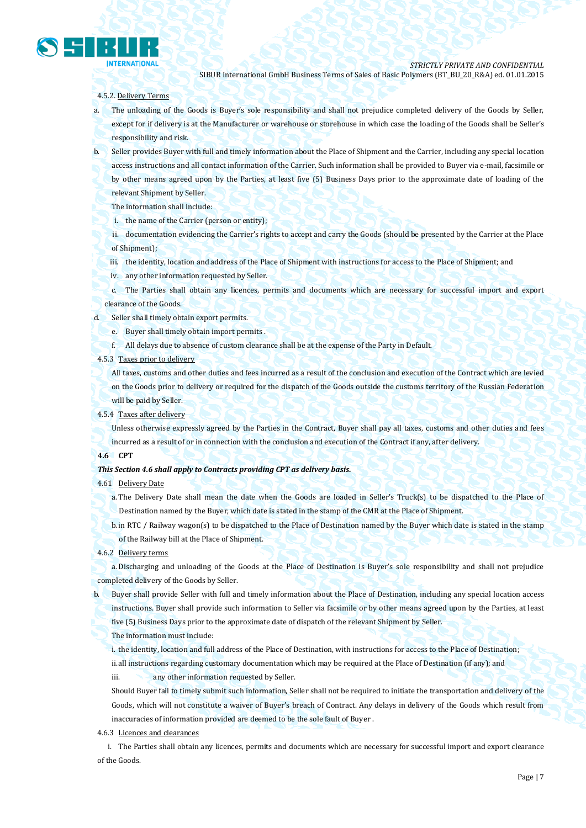

#### 4.5.2. Delivery Terms

- a. The unloading of the Goods is Buyer's sole responsibility and shall not prejudice completed delivery of the Goods by Seller, except for if delivery is at the Manufacturer or warehouse or storehouse in which case the loading of the Goods shall be Seller's responsibility and risk.
- b. Seller provides Buyer with full and timely information about the Place of Shipment and the Carrier, including any special location access instructions and all contact information of the Carrier. Such information shall be provided to Buyer via e-mail, facsimile or by other means agreed upon by the Parties, at least five (5) Business Days prior to the approximate date of loading of the relevant Shipment by Seller.
	- The information shall include:
	- i. the name of the Carrier (person or entity);
	- ii. documentation evidencing the Carrier's rights to accept and carry the Goods (should be presented by the Carrier at the Place of Shipment);
	- iii. the identity, location and address of the Place of Shipment with instructions for access to the Place of Shipment; and
	- iv. any other information requested by Seller.
	- c. The Parties shall obtain any licences, permits and documents which are necessary for successful import and export clearance of the Goods.
- d. Seller shall timely obtain export permits.
	- e. Buyer shall timely obtain import permits .
	- f. All delays due to absence of custom clearance shall be at the expense of the Party in Default.
- 4.5.3 Taxes prior to delivery

All taxes, customs and other duties and fees incurred as a result of the conclusion and execution of the Contract which are levied on the Goods prior to delivery or required for the dispatch of the Goods outside the customs territory of the Russian Federation will be paid by Seller.

4.5.4 Taxes after delivery

Unless otherwise expressly agreed by the Parties in the Contract, Buyer shall pay all taxes, customs and other duties and fees incurred as a result of or in connection with the conclusion and execution of the Contract if any, after delivery.

### **4.6 CPT**

#### *This Section 4.6 shall apply to Contracts providing CPT as delivery basis.*

#### 4.61 Delivery Date

a. The Delivery Date shall mean the date when the Goods are loaded in Seller's Truck(s) to be dispatched to the Place of Destination named by the Buyer, which date is stated in the stamp of the CMR at the Place of Shipment.

b.in RTC / Railway wagon(s) to be dispatched to the Place of Destination named by the Buyer which date is stated in the stamp of the Railway bill at the Place of Shipment.

4.6.2 Delivery terms

a. Discharging and unloading of the Goods at the Place of Destination is Buyer's sole responsibility and shall not prejudice completed delivery of the Goods by Seller.

b. Buyer shall provide Seller with full and timely information about the Place of Destination, including any special location access instructions. Buyer shall provide such information to Seller via facsimile or by other means agreed upon by the Parties, at least

five (5) Business Days prior to the approximate date of dispatch of the relevant Shipment by Seller.

#### The information must include:

i. the identity, location and full address of the Place of Destination, with instructions for access to the Place of Destination; ii.all instructions regarding customary documentation which may be required at the Place of Destination (if any); and

iii. **any other information requested by Seller.** 

Should Buyer fail to timely submit such information, Seller shall not be required to initiate the transportation and delivery of the Goods, which will not constitute a waiver of Buyer's breach of Contract. Any delays in delivery of the Goods which result from inaccuracies of information provided are deemed to be the sole fault of Buyer .

# 4.6.3 Licences and clearances

i. The Parties shall obtain any licences, permits and documents which are necessary for successful import and export clearance of the Goods.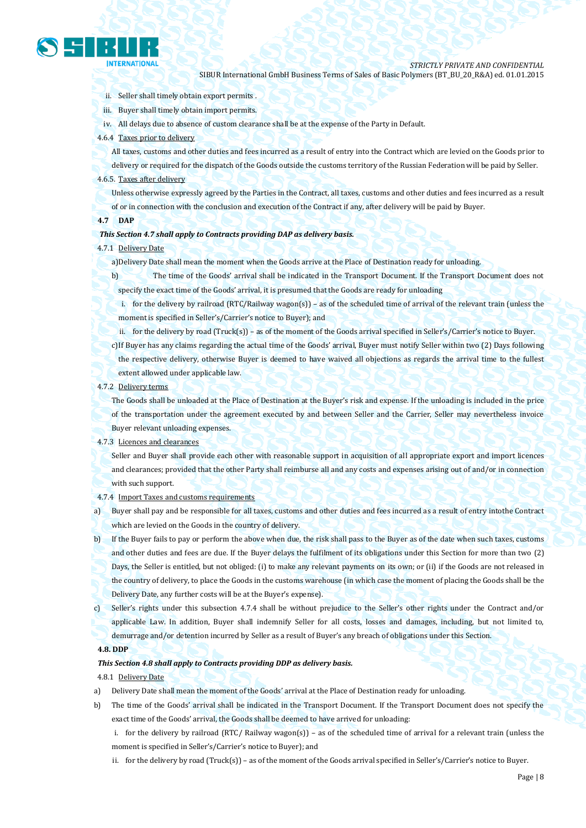

- ii. Seller shall timely obtain export permits .
- iii. Buyer shall timely obtain import permits.
- iv. All delays due to absence of custom clearance shall be at the expense of the Party in Default.
- 4.6.4 Taxes prior to delivery

All taxes, customs and other duties and fees incurred as a result of entry into the Contract which are levied on the Goods prior to

delivery or required for the dispatch of the Goods outside the customs territory of the Russian Federation will be paid by Seller. 4.6.5. Taxes after delivery

Unless otherwise expressly agreed by the Parties in the Contract, all taxes, customs and other duties and fees incurred as a result of or in connection with the conclusion and execution of the Contract if any, after delivery will be paid by Buyer.

#### **4.7 DAP**

#### *This Section 4.7 shall apply to Contracts providing DAP as delivery basis.*

#### 4.7.1 Delivery Date

- a)Delivery Date shall mean the moment when the Goods arrive at the Place of Destination ready for unloading.
- b) The time of the Goods' arrival shall be indicated in the Transport Document. If the Transport Document does not specify the exact time of the Goods' arrival, it is presumed that the Goods are ready for unloading
	- i. for the delivery by railroad (RTC/Railway wagon(s)) as of the scheduled time of arrival of the relevant train (unless the moment is specified in Seller's/Carrier's notice to Buyer); and
	- ii. for the delivery by road (Truck(s)) as of the moment of the Goods arrival specified in Seller's/Carrier's notice to Buyer.
- c)If Buyer has any claims regarding the actual time of the Goods' arrival, Buyer must notify Seller within two (2) Days following the respective delivery, otherwise Buyer is deemed to have waived all objections as regards the arrival time to the fullest extent allowed under applicable law.

# 4.7.2 Delivery terms

The Goods shall be unloaded at the Place of Destination at the Buyer's risk and expense. If the unloading is included in the price of the transportation under the agreement executed by and between Seller and the Carrier, Seller may nevertheless invoice Buyer relevant unloading expenses.

#### 4.7.3 Licences and clearances

Seller and Buyer shall provide each other with reasonable support in acquisition of all appropriate export and import licences and clearances; provided that the other Party shall reimburse all and any costs and expenses arising out of and/or in connection with such support.

4.7.4 Import Taxes and customs requirements

a) Buyer shall pay and be responsible for all taxes, customs and other duties and fees incurred as a result of entry intothe Contract which are levied on the Goods in the country of delivery.

b) If the Buyer fails to pay or perform the above when due, the risk shall pass to the Buyer as of the date when such taxes, customs and other duties and fees are due. If the Buyer delays the fulfilment of its obligations under this Section for more than two (2) Days, the Seller is entitled, but not obliged: (i) to make any relevant payments on its own; or (ii) if the Goods are not released in the country of delivery, to place the Goods in the customs warehouse (in which case the moment of placing the Goods shall be the Delivery Date, any further costs will be at the Buyer's expense).

c) Seller's rights under this subsection 4.7.4 shall be without prejudice to the Seller's other rights under the Contract and/or applicable Law. In addition, Buyer shall indemnify Seller for all costs, losses and damages, including, but not limited to, demurrage and/or detention incurred by Seller as a result of Buyer's any breach of obligations under this Section.

## **4.8. DDP**

## *This Section 4.8 shall apply to Contracts providing DDP as delivery basis.*

## 4.8.1 Delivery Date

- a) Delivery Date shall mean the moment of the Goods' arrival at the Place of Destination ready for unloading.
- b) The time of the Goods' arrival shall be indicated in the Transport Document. If the Transport Document does not specify the exact time of the Goods' arrival, the Goods shall be deemed to have arrived for unloading:
	- i. for the delivery by railroad (RTC/ Railway wagon(s)) as of the scheduled time of arrival for a relevant train (unless the moment is specified in Seller's/Carrier's notice to Buyer); and
	- ii. for the delivery by road (Truck(s)) as of the moment of the Goods arrival specified in Seller's/Carrier's notice to Buyer.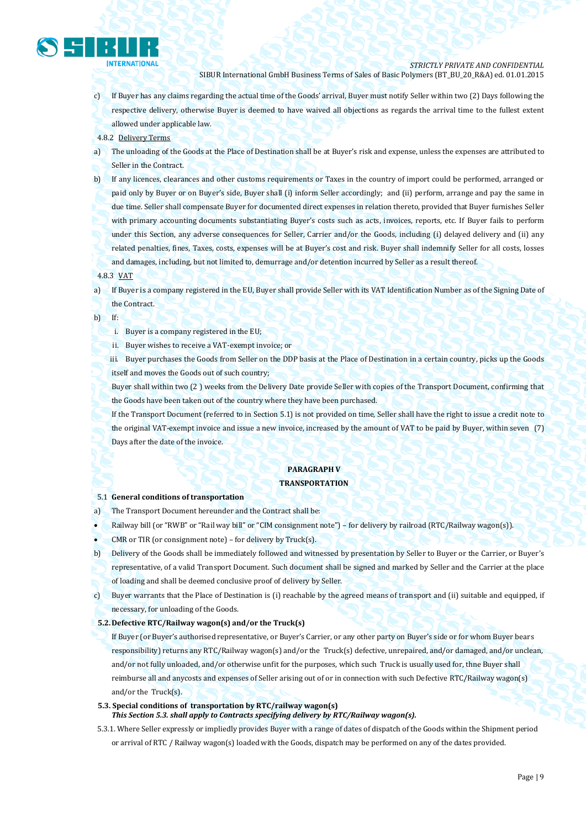

- c) If Buyer has any claims regarding the actual time of the Goods' arrival, Buyer must notify Seller within two (2) Days following the respective delivery, otherwise Buyer is deemed to have waived all objections as regards the arrival time to the fullest extent allowed under applicable law.
- 4.8.2 Delivery Terms
- a) The unloading of the Goods at the Place of Destination shall be at Buyer's risk and expense, unless the expenses are attributed to Seller in the Contract.
- b) If any licences, clearances and other customs requirements or Taxes in the country of import could be performed, arranged or paid only by Buyer or on Buyer's side, Buyer shall (i) inform Seller accordingly; and (ii) perform, arrange and pay the same in due time. Seller shall compensate Buyer for documented direct expenses in relation thereto, provided that Buyer furnishes Seller with primary accounting documents substantiating Buyer's costs such as acts, invoices, reports, etc. If Buyer fails to perform under this Section, any adverse consequences for Seller, Carrier and/or the Goods, including (i) delayed delivery and (ii) any related penalties, fines, Taxes, costs, expenses will be at Buyer's cost and risk. Buyer shall indemnify Seller for all costs, losses and damages, including, but not limited to, demurrage and/or detention incurred by Seller as a result thereof.
- 4.8.3 VAT
- a) If Buyer is a company registered in the EU, Buyer shall provide Seller with its VAT Identification Number as of the Signing Date of the Contract.
- b) If:
	- i. Buyer is a company registered in the EU;
	- ii. Buyer wishes to receive a VAT-exempt invoice; or
	- iii. Buyer purchases the Goods from Seller on the DDP basis at the Place of Destination in a certain country, picks up the Goods itself and moves the Goods out of such country;
	- Buyer shall within two (2 ) weeks from the Delivery Date provide Seller with copies of the Transport Document, confirming that the Goods have been taken out of the country where they have been purchased.
	- If the Transport Document (referred to in Section 5.1) is not provided on time, Seller shall have the right to issue a credit note to the original VAT-exempt invoice and issue a new invoice, increased by the amount of VAT to be paid by Buyer, within seven (7) Days after the date of the invoice.

# **PARAGRAPH V**

# **TRANSPORTATION**

#### 5.1 **General conditions of transportation**

- a) The Transport Document hereunder and the Contract shall be:
- Railway bill (or "RWB" or "Rail way bill" or "CIM consignment note") for delivery by railroad (RTC/Railway wagon(s)).
- CMR or TIR (or consignment note) for delivery by Truck(s).
- b) Delivery of the Goods shall be immediately followed and witnessed by presentation by Seller to Buyer or the Carrier, or Buyer's
- representative, of a valid Transport Document. Such document shall be signed and marked by Seller and the Carrier at the place of loading and shall be deemed conclusive proof of delivery by Seller.
- c) Buyer warrants that the Place of Destination is (i) reachable by the agreed means of transport and (ii) suitable and equipped, if necessary, for unloading of the Goods.
- **5.2.Defective RTC/Railway wagon(s) and/or the Truck(s)**
	- If Buyer (or Buyer's authorised representative, or Buyer's Carrier, or any other party on Buyer's side or for whom Buyer bears responsibility) returns any RTC/Railway wagon(s) and/or the Truck(s) defective, unrepaired, and/or damaged, and/or unclean, and/or not fully unloaded, and/or otherwise unfit for the purposes, which such Truck is usually used for, thne Buyer shall reimburse all and anycosts and expenses of Seller arising out of or in connection with such Defective RTC/Railway wagon(s) and/or the Truck(s).
- **5.3. Special conditions of transportation by RTC/railway wagon(s)** *This Section 5.3. shall apply to Contracts specifying delivery by RTC/Railway wagon(s).*
- 5.3.1. Where Seller expressly or impliedly provides Buyer with a range of dates of dispatch of the Goods within the Shipment period or arrival of RTC / Railway wagon(s) loaded with the Goods, dispatch may be performed on any of the dates provided.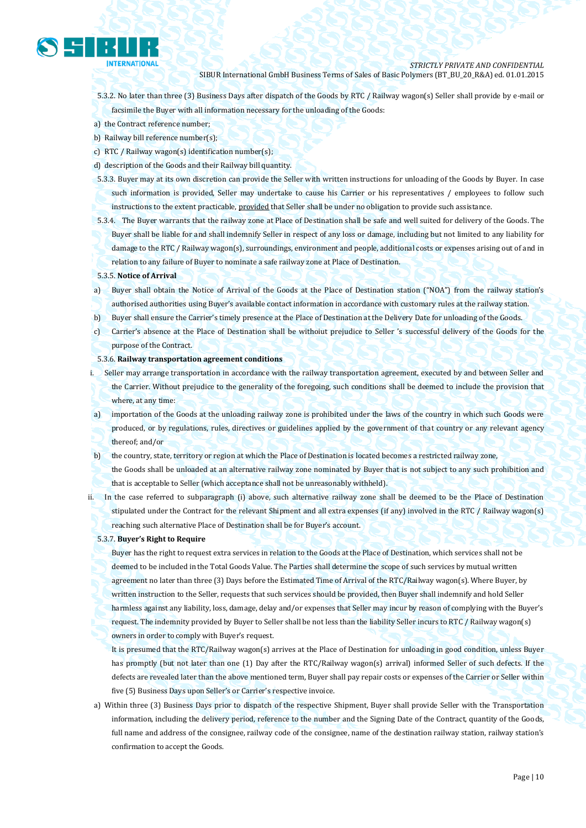

- 5.3.2. No later than three (3) Business Days after dispatch of the Goods by RTC / Railway wagon(s) Seller shall provide by e-mail or facsimile the Buyer with all information necessary for the unloading of the Goods:
- a) the Contract reference number;
- b) Railway bill reference number(s):
- c) RTC / Railway wagon(s) identification number(s);
- d) description of the Goods and their Railway bill quantity.
- 5.3.3. Buyer may at its own discretion can provide the Seller with written instructions for unloading of the Goods by Buyer. In case such information is provided, Seller may undertake to cause his Carrier or his representatives / employees to follow such instructions to the extent practicable, provided that Seller shall be under no obligation to provide such assistance.
- 5.3.4. The Buyer warrants that the railway zone at Place of Destination shall be safe and well suited for delivery of the Goods. The Buyer shall be liable for and shall indemnify Seller in respect of any loss or damage, including but not limited to any liability for damage to the RTC / Railway wagon(s), surroundings, environment and people, additional costs or expenses arising out of and in relation to any failure of Buyer to nominate a safe railway zone at Place of Destination.
- 5.3.5. **Notice of Arrival**
- a) Buyer shall obtain the Notice of Arrival of the Goods at the Place of Destination station ("NOA") from the railway station's authorised authorities using Buyer's available contact information in accordance with customary rules at the railway station.
- b) Buyer shall ensure the Carrier's timely presence at the Place of Destination at the Delivery Date for unloading of the Goods.
- c) Carrier's absence at the Place of Destination shall be withoiut prejudice to Seller 's successful delivery of the Goods for the purpose of the Contract.
- 5.3.6. **Railway transportation agreement conditions**
- i. Seller may arrange transportation in accordance with the railway transportation agreement, executed by and between Seller and the Carrier. Without prejudice to the generality of the foregoing, such conditions shall be deemed to include the provision that where, at any time:
- a) importation of the Goods at the unloading railway zone is prohibited under the laws of the country in which such Goods were produced, or by regulations, rules, directives or guidelines applied by the government of that country or any relevant agency thereof; and/or
- b) the country, state, territory or region at which the Place of Destination is located becomes a restricted railway zone, the Goods shall be unloaded at an alternative railway zone nominated by Buyer that is not subject to any such prohibition and that is acceptable to Seller (which acceptance shall not be unreasonably withheld).
- ii. In the case referred to subparagraph (i) above, such alternative railway zone shall be deemed to be the Place of Destination stipulated under the Contract for the relevant Shipment and all extra expenses (if any) involved in the RTC / Railway wagon(s) reaching such alternative Place of Destination shall be for Buyer's account.
	- 5.3.7. **Buyer's Right to Require**

Buyer has the right to request extra services in relation to the Goods at the Place of Destination, which services shall not be deemed to be included in the Total Goods Value. The Parties shall determine the scope of such services by mutual written agreement no later than three (3) Days before the Estimated Time of Arrival of the RTC/Railway wagon(s). Where Buyer, by written instruction to the Seller, requests that such services should be provided, then Buyer shall indemnify and hold Seller harmless against any liability, loss, damage, delay and/or expenses that Seller may incur by reason of complying with the Buyer's request. The indemnity provided by Buyer to Seller shall be not less than the liability Seller incurs to RTC / Railway wagon(s) owners in order to comply with Buyer's request.

It is presumed that the RTC/Railway wagon(s) arrives at the Place of Destination for unloading in good condition, unless Buyer has promptly (but not later than one (1) Day after the RTC/Railway wagon(s) arrival) informed Seller of such defects. If the defects are revealed later than the above mentioned term, Buyer shall pay repair costs or expenses of the Carrier or Seller within five (5) Business Days upon Seller's or Carrier's respective invoice.

a) Within three (3) Business Days prior to dispatch of the respective Shipment, Buyer shall provide Seller with the Transportation information, including the delivery period, reference to the number and the Signing Date of the Contract, quantity of the Goods, full name and address of the consignee, railway code of the consignee, name of the destination railway station, railway station's confirmation to accept the Goods.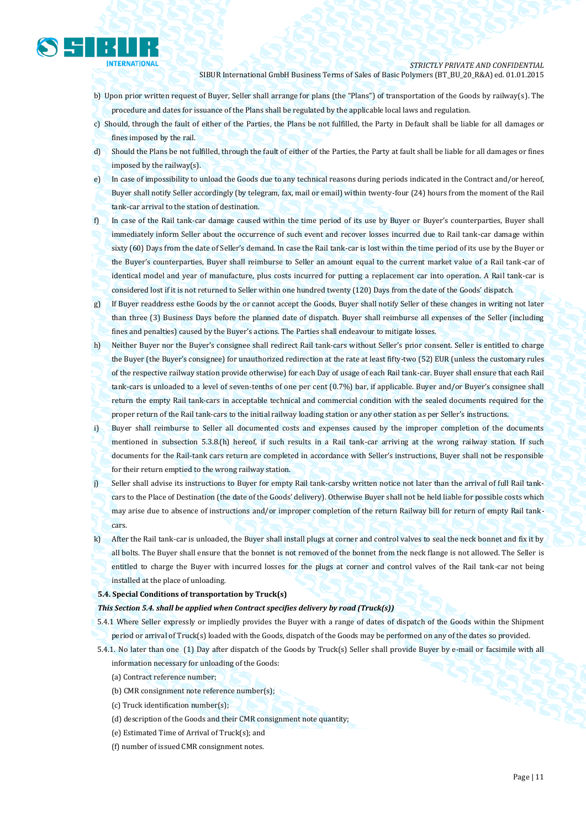

- b) Upon prior written request of Buyer, Seller shall arrange for plans (the "Plans") of transportation of the Goods by railway(s). The procedure and dates for issuance of the Plans shall be regulated by the applicable local laws and regulation.
- c) Should, through the fault of either of the Parties, the Plans be not fulfilled, the Party in Default shall be liable for all damages or fines imposed by the rail.
- d) Should the Plans be not fulfilled, through the fault of either of the Parties, the Party at fault shall be liable for all damages or fines imposed by the railway(s).
- e) In case of impossibility to unload the Goods due to any technical reasons during periods indicated in the Contract and/or hereof, Buyer shall notify Seller accordingly (by telegram, fax, mail or email) within twenty-four (24) hours from the moment of the Rail tank-car arrival to the station of destination.
- f) In case of the Rail tank-car damage caused within the time period of its use by Buyer or Buyer's counterparties, Buyer shall immediately inform Seller about the occurrence of such event and recover losses incurred due to Rail tank-car damage within sixty (60) Days from the date of Seller's demand. In case the Rail tank-car is lost within the time period of its use by the Buyer or the Buyer's counterparties, Buyer shall reimburse to Seller an amount equal to the current market value of a Rail tank-car of identical model and year of manufacture, plus costs incurred for putting a replacement car into operation. A Rail tank-car is considered lost if it is not returned to Seller within one hundred twenty (120) Days from the date of the Goods' dispatch.
- g) If Buyer readdress esthe Goods by the or cannot accept the Goods, Buyer shall notify Seller of these changes in writing not later than three (3) Business Days before the planned date of dispatch. Buyer shall reimburse all expenses of the Seller (including fines and penalties) caused by the Buyer's actions. The Parties shall endeavour to mitigate losses.
- h) Neither Buyer nor the Buyer's consignee shall redirect Rail tank-cars without Seller's prior consent. Seller is entitled to charge the Buyer (the Buyer's consignee) for unauthorized redirection at the rate at least fifty-two (52) EUR (unless the customary rules of the respective railway station provide otherwise) for each Day of usage of each Rail tank-car. Buyer shall ensure that each Rail tank-cars is unloaded to a level of seven-tenths of one per cent (0.7%) bar, if applicable. Buyer and/or Buyer's consignee shall return the empty Rail tank-cars in acceptable technical and commercial condition with the sealed documents required for the proper return of the Rail tank-cars to the initial railway loading station or any other station as per Seller's instructions.
- i) Buyer shall reimburse to Seller all documented costs and expenses caused by the improper completion of the documents mentioned in subsection 5.3.8.(h) hereof, if such results in a Rail tank-car arriving at the wrong railway station. If such documents for the Rail-tank cars return are completed in accordance with Seller's instructions, Buyer shall not be responsible for their return emptied to the wrong railway station.
- j) Seller shall advise its instructions to Buyer for empty Rail tank-carsby written notice not later than the arrival of full Rail tankcars to the Place of Destination (the date of the Goods' delivery). Otherwise Buyer shall not be held liable for possible costs which may arise due to absence of instructions and/or improper completion of the return Railway bill for return of empty Rail tankcars.
- k) After the Rail tank-car is unloaded, the Buyer shall install plugs at corner and control valves to seal the neck bonnet and fix it by all bolts. The Buyer shall ensure that the bonnet is not removed of the bonnet from the neck flange is not allowed. The Seller is entitled to charge the Buyer with incurred losses for the plugs at corner and control valves of the Rail tank-car not being installed at the place of unloading.
- **5.4. Special Conditions of transportation by Truck(s)**

#### *This Section 5.4. shall be applied when Contract specifies delivery by road (Truck(s))*

- 5.4.1 Where Seller expressly or impliedly provides the Buyer with a range of dates of dispatch of the Goods within the Shipment period or arrival of Truck(s) loaded with the Goods, dispatch of the Goods may be performed on any of the dates so provided.
- 5.4.1. No later than one (1) Day after dispatch of the Goods by Truck(s) Seller shall provide Buyer by e-mail or facsimile with all information necessary for unloading of the Goods:
	- (a) Contract reference number;
	- (b) CMR consignment note reference number(s);
	- (c) Truck identification number(s);
	- (d) description of the Goods and their CMR consignment note quantity;
	- (e) Estimated Time of Arrival of Truck(s); and
	- (f) number of issued CMR consignment notes.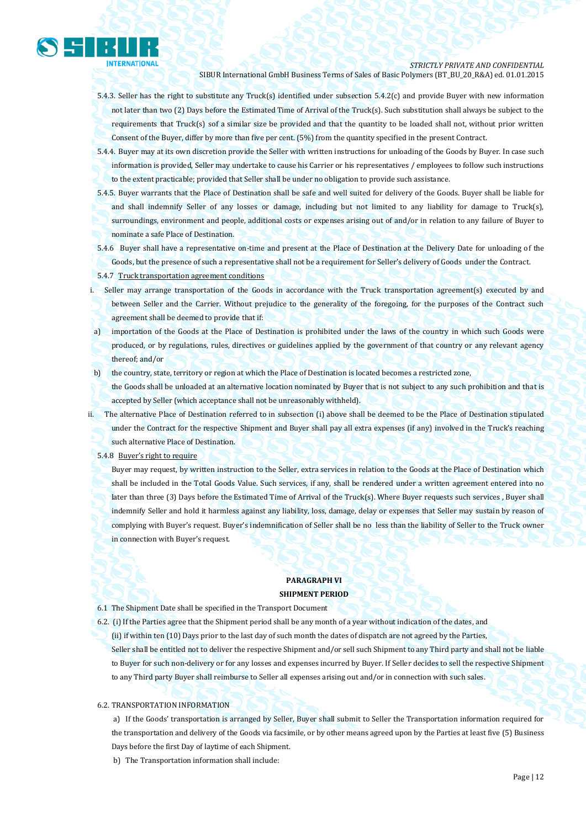

- 5.4.3. Seller has the right to substitute any Truck(s) identified under subsection 5.4.2(c) and provide Buyer with new information not later than two (2) Days before the Estimated Time of Arrival of the Truck(s). Such substitution shall always be subject to the requirements that Truck(s) sof a similar size be provided and that the quantity to be loaded shall not, without prior written Consent of the Buyer, differ by more than five per cent. (5%) from the quantity specified in the present Contract.
- 5.4.4. Buyer may at its own discretion provide the Seller with written instructions for unloading of the Goods by Buyer. In case such information is provided, Seller may undertake to cause his Carrier or his representatives / employees to follow such instructions to the extent practicable; provided that Seller shall be under no obligation to provide such assistance.
- 5.4.5. Buyer warrants that the Place of Destination shall be safe and well suited for delivery of the Goods. Buyer shall be liable for and shall indemnify Seller of any losses or damage, including but not limited to any liability for damage to Truck(s), surroundings, environment and people, additional costs or expenses arising out of and/or in relation to any failure of Buyer to nominate a safe Place of Destination.
- 5.4.6 Buyer shall have a representative on-time and present at the Place of Destination at the Delivery Date for unloading of the Goods, but the presence of such a representative shall not be a requirement for Seller's delivery of Goods under the Contract.
- 5.4.7 Truck transportation agreement conditions
- i. Seller may arrange transportation of the Goods in accordance with the Truck transportation agreement(s) executed by and between Seller and the Carrier. Without prejudice to the generality of the foregoing, for the purposes of the Contract such agreement shall be deemed to provide that if:
- a) importation of the Goods at the Place of Destination is prohibited under the laws of the country in which such Goods were produced, or by regulations, rules, directives or guidelines applied by the government of that country or any relevant agency thereof; and/or
- b) the country, state, territory or region at which the Place of Destination is located becomes a restricted zone,

the Goods shall be unloaded at an alternative location nominated by Buyer that is not subject to any such prohibition and that is accepted by Seller (which acceptance shall not be unreasonably withheld).

- ii. The alternative Place of Destination referred to in subsection (i) above shall be deemed to be the Place of Destination stipulated under the Contract for the respective Shipment and Buyer shall pay all extra expenses (if any) involved in the Truck's reaching such alternative Place of Destination.
	- 5.4.8 Buyer's right to require

Buyer may request, by written instruction to the Seller, extra services in relation to the Goods at the Place of Destination which shall be included in the Total Goods Value. Such services, if any, shall be rendered under a written agreement entered into no later than three (3) Days before the Estimated Time of Arrival of the Truck(s). Where Buyer requests such services , Buyer shall indemnify Seller and hold it harmless against any liability, loss, damage, delay or expenses that Seller may sustain by reason of complying with Buyer's request. Buyer's indemnification of Seller shall be no less than the liability of Seller to the Truck owner in connection with Buyer's request.

# **PARAGRAPH VI SHIPMENT PERIOD**

- 6.1 The Shipment Date shall be specified in the Transport Document
- 6.2. (i) If the Parties agree that the Shipment period shall be any month of a year without indication of the dates, and
- (ii) if within ten (10) Days prior to the last day of such month the dates of dispatch are not agreed by the Parties, Seller shall be entitled not to deliver the respective Shipment and/or sell such Shipment to any Third party and shall not be liable to Buyer for such non-delivery or for any losses and expenses incurred by Buyer. If Seller decides to sell the respective Shipment to any Third party Buyer shall reimburse to Seller all expenses arising out and/or in connection with such sales.

### 6.2. TRANSPORTATION INFORMATION

a) If the Goods' transportation is arranged by Seller, Buyer shall submit to Seller the Transportation information required for the transportation and delivery of the Goods via facsimile, or by other means agreed upon by the Parties at least five (5) Business Days before the first Day of laytime of each Shipment.

b) The Transportation information shall include: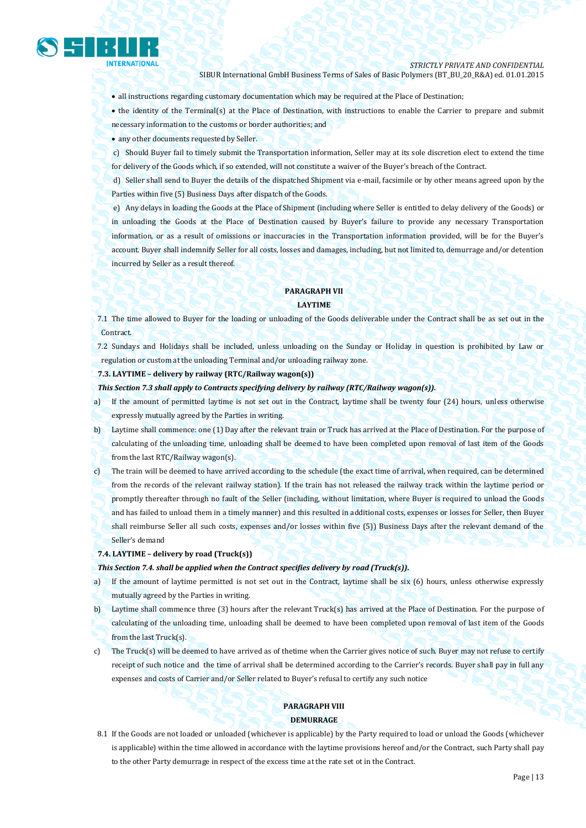

all instructions regarding customary documentation which may be required at the Place of Destination;

• the identity of the Terminal(s) at the Place of Destination, with instructions to enable the Carrier to prepare and submit necessary information to the customs or border authorities; and

- any other documents requested by Seller.
- c) Should Buyer fail to timely submit the Transportation information, Seller may at its sole discretion elect to extend the time for delivery of the Goods which, if so extended, will not constitute a waiver of the Buyer's breach of the Contract.

d) Seller shall send to Buyer the details of the dispatched Shipment via e-mail, facsimile or by other means agreed upon by the Parties within five (5) Business Days after dispatch of the Goods.

e) Any delays in loading the Goods at the Place of Shipment (including where Seller is entitled to delay delivery of the Goods) or in unloading the Goods at the Place of Destination caused by Buyer's failure to provide any necessary Transportation information, or as a result of omissions or inaccuracies in the Transportation information provided, will be for the Buyer's account. Buyer shall indemnify Seller for all costs, losses and damages, including, but not limited to, demurrage and/or detention incurred by Seller as a result thereof.

# **PARAGRAPH VII LAYTIME**

7.1 The time allowed to Buyer for the loading or unloading of the Goods deliverable under the Contract shall be as set out in the Contract.

7.2 Sundays and Holidays shall be included, unless unloading on the Sunday or Holiday in question is prohibited by Law or regulation or custom at the unloading Terminal and/or unloading railway zone.

### **7.3. LAYTIME – delivery by railway (RTC/Railway wagon(s))**

*This Section 7.3 shall apply to Contracts specifying delivery by railway (RTC/Railway wagon(s)).*

- a) If the amount of permitted laytime is not set out in the Contract, laytime shall be twenty four (24) hours, unless otherwise expressly mutually agreed by the Parties in writing.
- b) Laytime shall commence: one (1) Day after the relevant train or Truck has arrived at the Place of Destination. For the purpose of calculating of the unloading time, unloading shall be deemed to have been completed upon removal of last item of the Goods from the last RTC/Railway wagon(s).
- c) The train will be deemed to have arrived according to the schedule (the exact time of arrival, when required, can be determined from the records of the relevant railway station). If the train has not released the railway track within the laytime period or promptly thereafter through no fault of the Seller (including, without limitation, where Buyer is required to unload the Goods and has failed to unload them in a timely manner) and this resulted in additional costs, expenses or losses for Seller, then Buyer shall reimburse Seller all such costs, expenses and/or losses within five (5)) Business Days after the relevant demand of the Seller's demand

#### **7.4. LAYTIME – delivery by road (Truck(s))**

#### *This Section 7.4. shall be applied when the Contract specifies delivery by road (Truck(s)).*

- a) If the amount of laytime permitted is not set out in the Contract, laytime shall be six (6) hours, unless otherwise expressly mutually agreed by the Parties in writing.
- b) Laytime shall commence three (3) hours after the relevant Truck(s) has arrived at the Place of Destination. For the purpose of calculating of the unloading time, unloading shall be deemed to have been completed upon removal of last item of the Goods from the last Truck(s).
- c) The Truck(s) will be deemed to have arrived as of thetime when the Carrier gives notice of such. Buyer may not refuse to certify receipt of such notice and the time of arrival shall be determined according to the Carrier's records. Buyer shall pay in full any expenses and costs of Carrier and/or Seller related to Buyer's refusal to certify any such notice

# **PARAGRAPH VIII DEMURRAGE**

8.1 If the Goods are not loaded or unloaded (whichever is applicable) by the Party required to load or unload the Goods (whichever is applicable) within the time allowed in accordance with the laytime provisions hereof and/or the Contract, such Party shall pay to the other Party demurrage in respect of the excess time at the rate set ot in the Contract.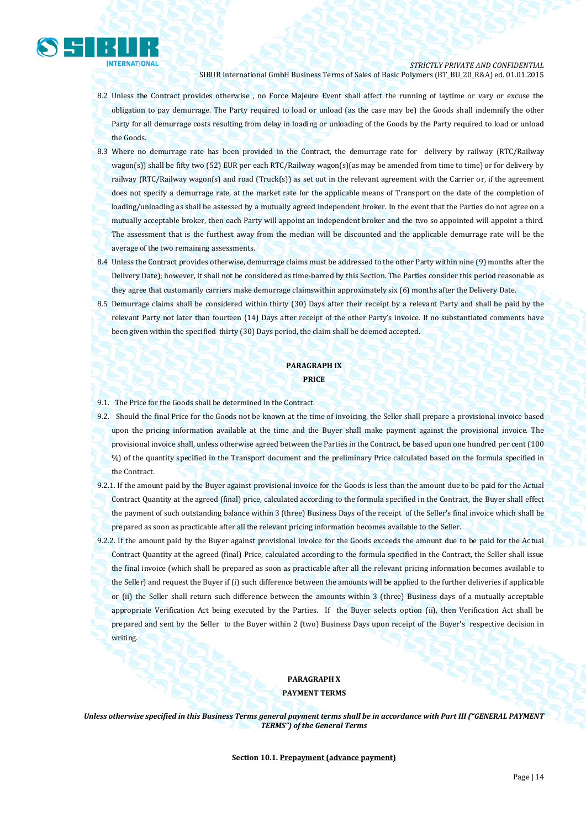

*STRICTLY PRIVATE AND CONFIDENTIAL*

SIBUR International GmbH Business Terms of Sales of Basic Polymers (BT\_BU\_20\_R&A) ed. 01.01.2015

- 8.2 Unless the Contract provides otherwise , no Force Majeure Event shall affect the running of laytime or vary or excuse the obligation to pay demurrage. The Party required to load or unload (as the case may be) the Goods shall indemnify the other Party for all demurrage costs resulting from delay in loading or unloading of the Goods by the Party required to load or unload the Goods.
- 8.3 Where no demurrage rate has been provided in the Contract, the demurrage rate for delivery by railway (RTC/Railway wagon(s)) shall be fifty two (52) EUR per each RTC/Railway wagon(s)(as may be amended from time to time) or for delivery by railway (RTC/Railway wagon(s) and road (Truck(s)) as set out in the relevant agreement with the Carrier or, if the agreement does not specify a demurrage rate, at the market rate for the applicable means of Transport on the date of the completion of loading/unloading as shall be assessed by a mutually agreed independent broker. In the event that the Parties do not agree on a mutually acceptable broker, then each Party will appoint an independent broker and the two so appointed will appoint a third. The assessment that is the furthest away from the median will be discounted and the applicable demurrage rate will be the average of the two remaining assessments.
- 8.4 Unless the Contract provides otherwise, demurrage claims must be addressed to the other Party within nine (9) months after the Delivery Date); however, it shall not be considered as time-barred by this Section. The Parties consider this period reasonable as they agree that customarily carriers make demurrage claimswithin approximately six (6) months after the Delivery Date.
- 8.5 Demurrage claims shall be considered within thirty (30) Days after their receipt by a relevant Party and shall be paid by the relevant Party not later than fourteen (14) Days after receipt of the other Party's invoice. If no substantiated comments have been given within the specified thirty (30) Days period, the claim shall be deemed accepted.

# **PARAGRAPH IX PRICE**

- 9.1. The Price for the Goods shall be determined in the Contract.
- 9.2. Should the final Price for the Goods not be known at the time of invoicing, the Seller shall prepare a provisional invoice based upon the pricing information available at the time and the Buyer shall make payment against the provisional invoice. The provisional invoice shall, unless otherwise agreed between the Parties in the Contract, be based upon one hundred per cent (100 %) of the quantity specified in the Transport document and the preliminary Price calculated based on the formula specified in the Contract.
- 9.2.1. If the amount paid by the Buyer against provisional invoice for the Goods is less than the amount due to be paid for the Actual Contract Quantity at the agreed (final) price, calculated according to the formula specified in the Contract, the Buyer shall effect the payment of such outstanding balance within 3 (three) Business Days of the receipt of the Seller's final invoice which shall be prepared as soon as practicable after all the relevant pricing information becomes available to the Seller.
- 9.2.2. If the amount paid by the Buyer against provisional invoice for the Goods exceeds the amount due to be paid for the Actual Contract Quantity at the agreed (final) Price, calculated according to the formula specified in the Contract, the Seller shall issue the final invoice (which shall be prepared as soon as practicable after all the relevant pricing information becomes available to the Seller) and request the Buyer if (i) such difference between the amounts will be applied to the further deliveries if applicable or (ii) the Seller shall return such difference between the amounts within 3 (three) Business days of a mutually acceptable appropriate Verification Act being executed by the Parties. If the Buyer selects option (ii), then Verification Act shall be prepared and sent by the Seller to the Buyer within 2 (two) Business Days upon receipt of the Buyer's respective decision in writing.

# **PARAGRAPH X**

**PAYMENT TERMS**

*Unless otherwise specified in this Business Terms general payment terms shall be in accordance with Part III ("GENERAL PAYMENT TERMS") of the General Terms*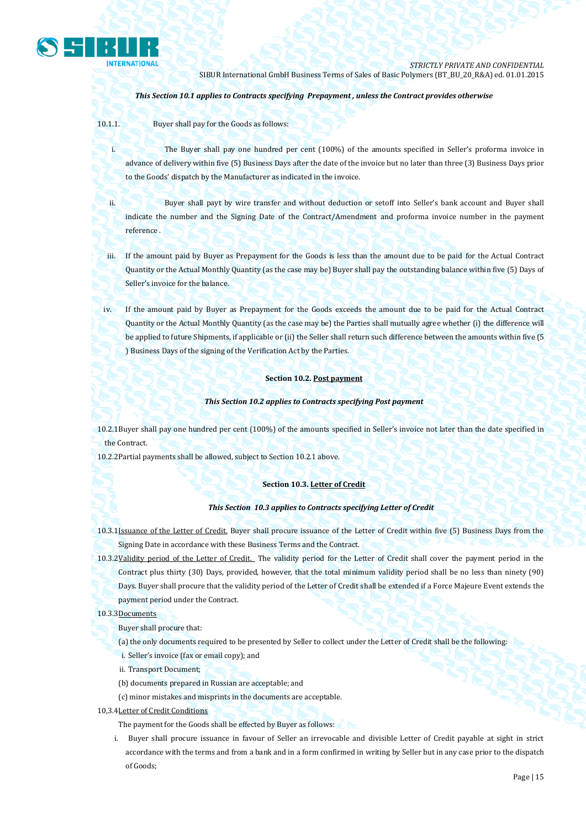

## *This Section 10.1 applies to Contracts specifying Prepayment , unless the Contract provides otherwise*

10.1.1. Buyer shall pay for the Goods as follows:

i. The Buyer shall pay one hundred per cent (100%) of the amounts specified in Seller's proforma invoice in advance of delivery within five (5) Business Days after the date of the invoice but no later than three (3) Business Days prior to the Goods' dispatch by the Manufacturer as indicated in the invoice.

ii. Buyer shall payt by wire transfer and without deduction or setoff into Seller's bank account and Buyer shall indicate the number and the Signing Date of the Contract/Amendment and proforma invoice number in the payment reference .

iii. If the amount paid by Buyer as Prepayment for the Goods is less than the amount due to be paid for the Actual Contract Quantity or the Actual Monthly Quantity (as the case may be) Buyer shall pay the outstanding balance within five (5) Days of Seller's invoice for the balance.

iv. If the amount paid by Buyer as Prepayment for the Goods exceeds the amount due to be paid for the Actual Contract Quantity or the Actual Monthly Quantity (as the case may be) the Parties shall mutually agree whether (i) the difference will be applied to future Shipments, if applicable or (ii) the Seller shall return such difference between the amounts within five (5 ) Business Days of the signing of the Verification Act by the Parties.

#### **Section 10.2. Post payment**

#### *This Section 10.2 applies to Contracts specifying Post payment*

10.2.1Buyer shall pay one hundred per cent (100%) of the amounts specified in Seller's invoice not later than the date specified in the Contract.

10.2.2Partial payments shall be allowed, subject to Section 10.2.1 above.

#### **Section 10.3. Letter of Credit**

#### *This Section 10.3 applies to Contracts specifying Letter of Credit*

10.3.1Issuance of the Letter of Credit. Buyer shall procure issuance of the Letter of Credit within five (5) Business Days from the Signing Date in accordance with these Business Terms and the Contract.

10.3.2Validity period of the Letter of Credit. The validity period for the Letter of Credit shall cover the payment period in the

Contract plus thirty (30) Days, provided, however, that the total minimum validity period shall be no less than ninety (90) Days. Buyer shall procure that the validity period of the Letter of Credit shall be extended if a Force Majeure Event extends the payment period under the Contract.

#### 10.3.3Documents

Buyer shall procure that:

- (a) the only documents required to be presented by Seller to collect under the Letter of Credit shall be the following:
- i. Seller's invoice (fax or email copy); and
- ii. Transport Document;
- (b) documents prepared in Russian are acceptable; and
- (c) minor mistakes and misprints in the documents are acceptable.
- 10,3.4Letter of Credit Conditions
	- The payment for the Goods shall be effected by Buyer as follows:
	- i. Buyer shall procure issuance in favour of Seller an irrevocable and divisible Letter of Credit payable at sight in strict accordance with the terms and from a bank and in a form confirmed in writing by Seller but in any case prior to the dispatch of Goods;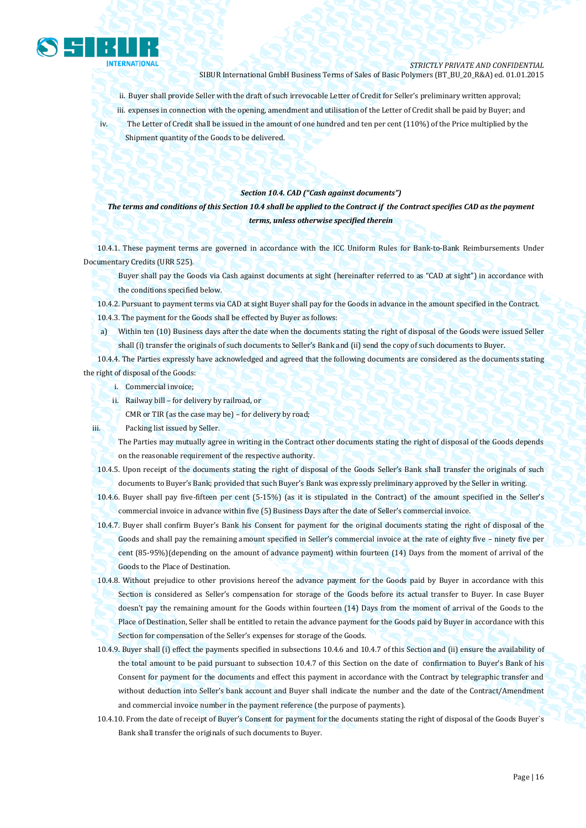

ii. Buyer shall provide Seller with the draft of such irrevocable Letter of Credit for Seller's preliminary written approval; iii. expenses in connection with the opening, amendment and utilisation of the Letter of Credit shall be paid by Buyer; and iv. The Letter of Credit shall be issued in the amount of one hundred and ten per cent (110%) of the Price multiplied by the Shipment quantity of the Goods to be delivered.

#### *Section 10.4. CAD ("Cash against documents")*

*The terms and conditions of this Section 10.4 shall be applied to the Contract if the Contract specifies CAD as the payment terms, unless otherwise specified therein*

10.4.1. These payment terms are governed in accordance with the ICC Uniform Rules for Bank-to-Bank Reimbursements Under Documentary Credits (URR 525).

Buyer shall pay the Goods via Cash against documents at sight (hereinafter referred to as "CAD at sight") in accordance with the conditions specified below.

10.4.2. Pursuant to payment terms via CAD at sight Buyer shall pay for the Goods in advance in the amount specified in the Contract. 10.4.3. The payment for the Goods shall be effected by Buyer as follows:

a) Within ten (10) Business days after the date when the documents stating the right of disposal of the Goods were issued Seller shall (i) transfer the originals of such documents to Seller's Bank and (ii) send the copy of such documents to Buyer.

10.4.4. The Parties expressly have acknowledged and agreed that the following documents are considered as the documents stating the right of disposal of the Goods:

- i. Commercial invoice;
- ii. Railway bill for delivery by railroad, or

CMR or TIR (as the case may be) – for delivery by road;

iii. Packing list issued by Seller.

The Parties may mutually agree in writing in the Contract other documents stating the right of disposal of the Goods depends on the reasonable requirement of the respective authority.

10.4.5. Upon receipt of the documents stating the right of disposal of the Goods Seller's Bank shall transfer the originals of such documents to Buyer's Bank; provided that such Buyer's Bank was expressly preliminary approved by the Seller in writing.

10.4.6. Buyer shall pay five-fifteen per cent (5-15%) (as it is stipulated in the Contract) of the amount specified in the Seller's commercial invoice in advance within five (5) Business Days after the date of Seller's commercial invoice.

10.4.7. Buyer shall confirm Buyer's Bank his Consent for payment for the original documents stating the right of disposal of the Goods and shall pay the remaining amount specified in Seller's commercial invoice at the rate of eighty five – ninety five per cent (85-95%)(depending on the amount of advance payment) within fourteen (14) Days from the moment of arrival of the Goods to the Place of Destination.

10.4.8. Without prejudice to other provisions hereof the advance payment for the Goods paid by Buyer in accordance with this Section is considered as Seller's compensation for storage of the Goods before its actual transfer to Buyer. In case Buyer doesn't pay the remaining amount for the Goods within fourteen (14) Days from the moment of arrival of the Goods to the Place of Destination, Seller shall be entitled to retain the advance payment for the Goods paid by Buyer in accordance with this Section for compensation of the Seller's expenses for storage of the Goods.

- 10.4.9. Buyer shall (i) effect the payments specified in subsections 10.4.6 and 10.4.7 of this Section and (ii) ensure the availability of the total amount to be paid pursuant to subsection 10.4.7 of this Section on the date of confirmation to Buyer's Bank of his Consent for payment for the documents and effect this payment in accordance with the Contract by telegraphic transfer and without deduction into Seller's bank account and Buyer shall indicate the number and the date of the Contract/Amendment and commercial invoice number in the payment reference (the purpose of payments).
- 10.4.10. From the date of receipt of Buyer's Consent for payment for the documents stating the right of disposal of the Goods Buyer`s Bank shall transfer the originals of such documents to Buyer.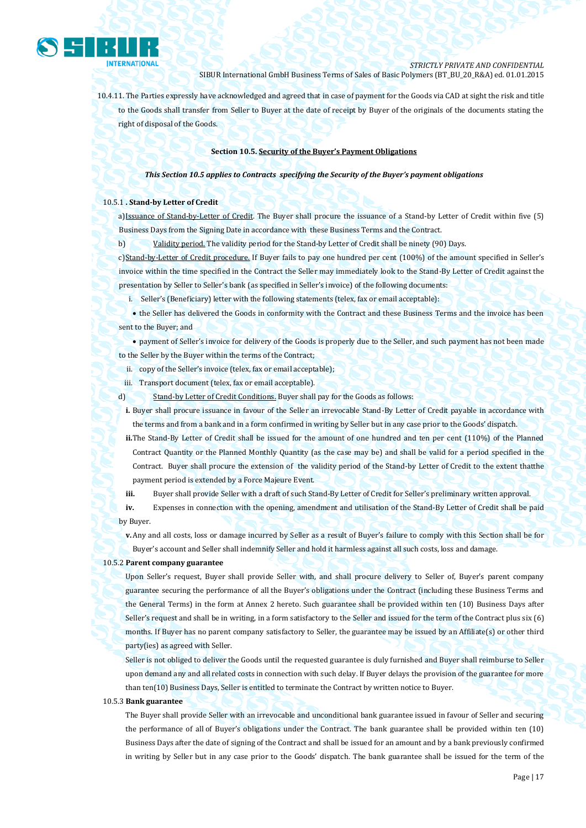

10.4.11. The Parties expressly have acknowledged and agreed that in case of payment for the Goods via CAD at sight the risk and title to the Goods shall transfer from Seller to Buyer at the date of receipt by Buyer of the originals of the documents stating the right of disposal of the Goods.

#### **Section 10.5. Security of the Buyer's Payment Obligations**

#### *This Section 10.5 applies to Contracts specifying the Security of the Buyer's payment obligations*

#### 10.5.1 **. Stand-by Letter of Credit**

a)Issuance of Stand-by-Letter of Credit. The Buyer shall procure the issuance of a Stand-by Letter of Credit within five (5) Business Days from the Signing Date in accordance with these Business Terms and the Contract.

b) Validity period. The validity period for the Stand-by Letter of Credit shall be ninety (90) Days.

c)Stand-by-Letter of Credit procedure. If Buyer fails to pay one hundred per cent (100%) of the amount specified in Seller's invoice within the time specified in the Contract the Seller may immediately look to the Stand-By Letter of Credit against the presentation by Seller to Seller's bank (as specified in Seller's invoice) of the following documents:

i. Seller's (Beneficiary) letter with the following statements (telex, fax or email acceptable):

• the Seller has delivered the Goods in conformity with the Contract and these Business Terms and the invoice has been sent to the Buyer; and

 payment of Seller's invoice for delivery of the Goods is properly due to the Seller, and such payment has not been made to the Seller by the Buyer within the terms of the Contract;

ii. copy of the Seller's invoice (telex, fax or email acceptable);

iii. Transport document (telex, fax or email acceptable).

- d) Stand-by Letter of Credit Conditions. Buyer shall pay for the Goods as follows:
- **i.** Buyer shall procure issuance in favour of the Seller an irrevocable Stand-By Letter of Credit payable in accordance with the terms and from a bank and in a form confirmed in writing by Seller but in any case prior to the Goods' dispatch.
- **ii.**The Stand-By Letter of Credit shall be issued for the amount of one hundred and ten per cent (110%) of the Planned Contract Quantity or the Planned Monthly Quantity (as the case may be) and shall be valid for a period specified in the Contract. Buyer shall procure the extension of the validity period of the Stand-by Letter of Credit to the extent thatthe payment period is extended by a Force Majeure Event.

**iii.** Buyer shall provide Seller with a draft of such Stand-By Letter of Credit for Seller's preliminary written approval.

**iv.** Expenses in connection with the opening, amendment and utilisation of the Stand-By Letter of Credit shall be paid by Buyer.

**v.**Any and all costs, loss or damage incurred by Seller as a result of Buyer's failure to comply with this Section shall be for Buyer's account and Seller shall indemnify Seller and hold it harmless against all such costs, loss and damage.

#### 10.5.2 **Parent company guarantee**

Upon Seller's request, Buyer shall provide Seller with, and shall procure delivery to Seller of, Buyer's parent company guarantee securing the performance of all the Buyer's obligations under the Contract (including these Business Terms and the General Terms) in the form at Annex 2 hereto. Such guarantee shall be provided within ten (10) Business Days after Seller's request and shall be in writing, in a form satisfactory to the Seller and issued for the term of the Contract plus six (6) months. If Buyer has no parent company satisfactory to Seller, the guarantee may be issued by an Affiliate(s) or other third party(ies) as agreed with Seller.

Seller is not obliged to deliver the Goods until the requested guarantee is duly furnished and Buyer shall reimburse to Seller upon demand any and all related costs in connection with such delay. If Buyer delays the provision of the guarantee for more than ten(10) Business Days, Seller is entitled to terminate the Contract by written notice to Buyer.

#### 10.5.3 **Bank guarantee**

The Buyer shall provide Seller with an irrevocable and unconditional bank guarantee issued in favour of Seller and securing the performance of all of Buyer's obligations under the Contract. The bank guarantee shall be provided within ten (10) Business Days after the date of signing of the Contract and shall be issued for an amount and by a bank previously confirmed in writing by Seller but in any case prior to the Goods' dispatch. The bank guarantee shall be issued for the term of the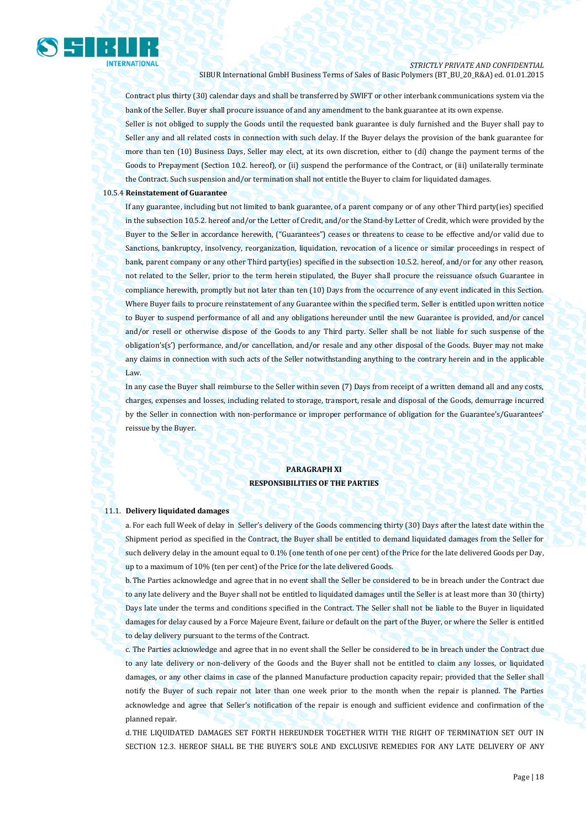

Contract plus thirty (30) calendar days and shall be transferred by SWIFT or other interbank communications system via the bank of the Seller. Buyer shall procure issuance of and any amendment to the bank guarantee at its own expense.

Seller is not obliged to supply the Goods until the requested bank guarantee is duly furnished and the Buyer shall pay to Seller any and all related costs in connection with such delay. If the Buyer delays the provision of the bank guarantee for more than ten (10) Business Days, Seller may elect, at its own discretion, either to (di) change the payment terms of the Goods to Prepayment (Section 10.2. hereof), or (ii) suspend the performance of the Contract, or (iii) unilaterally terminate the Contract. Such suspension and/or termination shall not entitle the Buyer to claim for liquidated damages.

#### 10.5.4 **Reinstatement of Guarantee**

If any guarantee, including but not limited to bank guarantee, of a parent company or of any other Third party(ies) specified in the subsection 10.5.2. hereof and/or the Letter of Credit, and/or the Stand-by Letter of Credit, which were provided by the Buyer to the Seller in accordance herewith, ("Guarantees") ceases or threatens to cease to be effective and/or valid due to Sanctions, bankruptcy, insolvency, reorganization, liquidation, revocation of a licence or similar proceedings in respect of bank, parent company or any other Third party(ies) specified in the subsection 10.5.2. hereof, and/or for any other reason, not related to the Seller, prior to the term herein stipulated, the Buyer shall procure the reissuance ofsuch Guarantee in compliance herewith, promptly but not later than ten (10) Days from the occurrence of any event indicated in this Section. Where Buyer fails to procure reinstatement of any Guarantee within the specified term, Seller is entitled upon written notice to Buyer to suspend performance of all and any obligations hereunder until the new Guarantee is provided, and/or cancel and/or resell or otherwise dispose of the Goods to any Third party. Seller shall be not liable for such suspense of the obligation's(s') performance, and/or cancellation, and/or resale and any other disposal of the Goods. Buyer may not make any claims in connection with such acts of the Seller notwithstanding anything to the contrary herein and in the applicable Law.

In any case the Buyer shall reimburse to the Seller within seven (7) Days from receipt of a written demand all and any costs, charges, expenses and losses, including related to storage, transport, resale and disposal of the Goods, demurrage incurred by the Seller in connection with non-performance or improper performance of obligation for the Guarantee's/Guarantees' reissue by the Buyer.

# **PARAGRAPH XI RESPONSIBILITIES OF THE PARTIES**

#### 11.1. **Delivery liquidated damages**

a. For each full Week of delay in Seller's delivery of the Goods commencing thirty (30) Days after the latest date within the Shipment period as specified in the Contract, the Buyer shall be entitled to demand liquidated damages from the Seller for such delivery delay in the amount equal to 0.1% (one tenth of one per cent) of the Price for the late delivered Goods per Day, up to a maximum of 10% (ten per cent) of the Price for the late delivered Goods.

b.The Parties acknowledge and agree that in no event shall the Seller be considered to be in breach under the Contract due to any late delivery and the Buyer shall not be entitled to liquidated damages until the Seller is at least more than 30 (thirty) Days late under the terms and conditions specified in the Contract. The Seller shall not be liable to the Buyer in liquidated damages for delay caused by a Force Majeure Event, failure or default on the part of the Buyer, or where the Seller is entitled to delay delivery pursuant to the terms of the Contract.

c. The Parties acknowledge and agree that in no event shall the Seller be considered to be in breach under the Contract due to any late delivery or non-delivery of the Goods and the Buyer shall not be entitled to claim any losses, or liquidated damages, or any other claims in case of the planned Manufacture production capacity repair; provided that the Seller shall notify the Buyer of such repair not later than one week prior to the month when the repair is planned. The Parties acknowledge and agree that Seller's notification of the repair is enough and sufficient evidence and confirmation of the planned repair.

d.THE LIQUIDATED DAMAGES SET FORTH HEREUNDER TOGETHER WITH THE RIGHT OF TERMINATION SET OUT IN SECTION 12.3. HEREOF SHALL BE THE BUYER'S SOLE AND EXCLUSIVE REMEDIES FOR ANY LATE DELIVERY OF ANY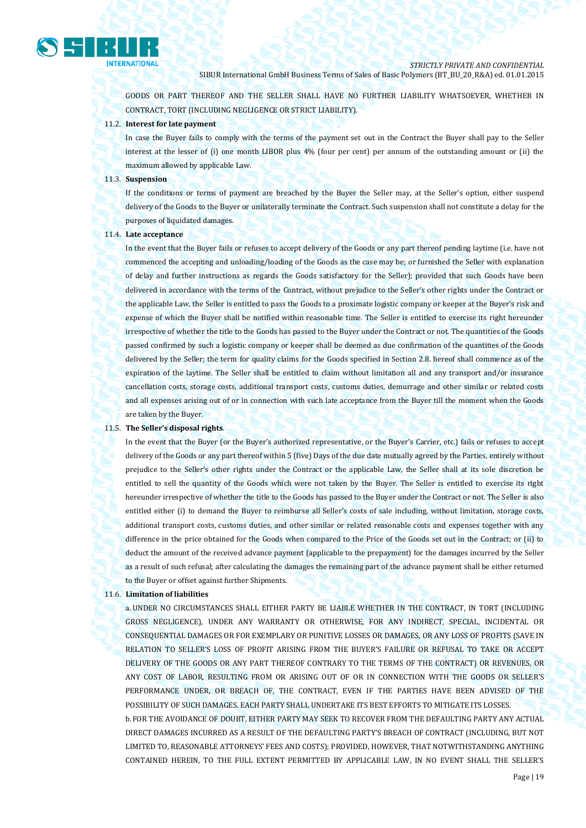

GOODS OR PART THEREOF AND THE SELLER SHALL HAVE NO FURTHER LIABILITY WHATSOEVER, WHETHER IN CONTRACT, TORT (INCLUDING NEGLIGENCE OR STRICT LIABILITY).

## 11.2. **Interest for late payment**

In case the Buyer fails to comply with the terms of the payment set out in the Contract the Buyer shall pay to the Seller interest at the lesser of (i) one month LIBOR plus 4% (four per cent) per annum of the outstanding amount or (ii) the maximum allowed by applicable Law.

#### 11.3. **Suspension**

If the conditions or terms of payment are breached by the Buyer the Seller may, at the Seller's option, either suspend delivery of the Goods to the Buyer or unilaterally terminate the Contract. Such suspension shall not constitute a delay for the purposes of liquidated damages.

#### 11.4. **Late acceptance**

In the event that the Buyer fails or refuses to accept delivery of the Goods or any part thereof pending laytime (i.e. have not commenced the accepting and unloading/loading of the Goods as the case may be; or furnished the Seller with explanation of delay and further instructions as regards the Goods satisfactory for the Seller); provided that such Goods have been delivered in accordance with the terms of the Contract, without prejudice to the Seller's other rights under the Contract or the applicable Law, the Seller is entitled to pass the Goods to a proximate logistic company or keeper at the Buyer's risk and expense of which the Buyer shall be notified within reasonable time. The Seller is entitled to exercise its right hereunder irrespective of whether the title to the Goods has passed to the Buyer under the Contract or not. The quantities of the Goods passed confirmed by such a logistic company or keeper shall be deemed as due confirmation of the quantities of the Goods delivered by the Seller; the term for quality claims for the Goods specified in Section 2.8. hereof shall commence as of the expiration of the laytime. The Seller shall be entitled to claim without limitation all and any transport and/or insurance cancellation costs, storage costs, additional transport costs, customs duties, demurrage and other similar or related costs and all expenses arising out of or in connection with such late acceptance from the Buyer till the moment when the Goods are taken by the Buyer.

#### 11.5. **The Seller's disposal rights**.

In the event that the Buyer (or the Buyer's authorized representative, or the Buyer's Carrier, etc.) fails or refuses to accept delivery of the Goods or any part thereof within 5 (five) Days of the due date mutually agreed by the Parties, entirely without prejudice to the Seller's other rights under the Contract or the applicable Law, the Seller shall at its sole discretion be entitled to sell the quantity of the Goods which were not taken by the Buyer. The Seller is entitled to exercise its right hereunder irrespective of whether the title to the Goods has passed to the Buyer under the Contract or not. The Seller is also entitled either (i) to demand the Buyer to reimburse all Seller's costs of sale including, without limitation, storage costs, additional transport costs, customs duties, and other similar or related reasonable costs and expenses together with any difference in the price obtained for the Goods when compared to the Price of the Goods set out in the Contract; or (ii) to deduct the amount of the received advance payment (applicable to the prepayment) for the damages incurred by the Seller as a result of such refusal; after calculating the damages the remaining part of the advance payment shall be either returned to the Buyer or offset against further Shipments.

#### 11.6. **Limitation of liabilities**

a. UNDER NO CIRCUMSTANCES SHALL EITHER PARTY BE LIABLE WHETHER IN THE CONTRACT, IN TORT (INCLUDING GROSS NEGLIGENCE), UNDER ANY WARRANTY OR OTHERWISE, FOR ANY INDIRECT, SPECIAL, INCIDENTAL OR CONSEQUENTIAL DAMAGES OR FOR EXEMPLARY OR PUNITIVE LOSSES OR DAMAGES, OR ANY LOSS OF PROFITS (SAVE IN RELATION TO SELLER'S LOSS OF PROFIT ARISING FROM THE BUYER'S FAILURE OR REFUSAL TO TAKE OR ACCEPT DELIVERY OF THE GOODS OR ANY PART THEREOF CONTRARY TO THE TERMS OF THE CONTRACT) OR REVENUES, OR ANY COST OF LABOR, RESULTING FROM OR ARISING OUT OF OR IN CONNECTION WITH THE GOODS OR SELLER'S PERFORMANCE UNDER, OR BREACH OF, THE CONTRACT, EVEN IF THE PARTIES HAVE BEEN ADVISED OF THE POSSIBILITY OF SUCH DAMAGES. EACH PARTY SHALL UNDERTAKE ITS BEST EFFORTS TO MITIGATE ITS LOSSES. b.FOR THE AVOIDANCE OF DOUBT, EITHER PARTY MAY SEEK TO RECOVER FROM THE DEFAULTING PARTY ANY ACTUAL DIRECT DAMAGES INCURRED AS A RESULT OF THE DEFAULTING PARTY'S BREACH OF CONTRACT (INCLUDING, BUT NOT LIMITED TO, REASONABLE ATTORNEYS' FEES AND COSTS); PROVIDED, HOWEVER, THAT NOTWITHSTANDING ANYTHING CONTAINED HEREIN, TO THE FULL EXTENT PERMITTED BY APPLICABLE LAW, IN NO EVENT SHALL THE SELLER'S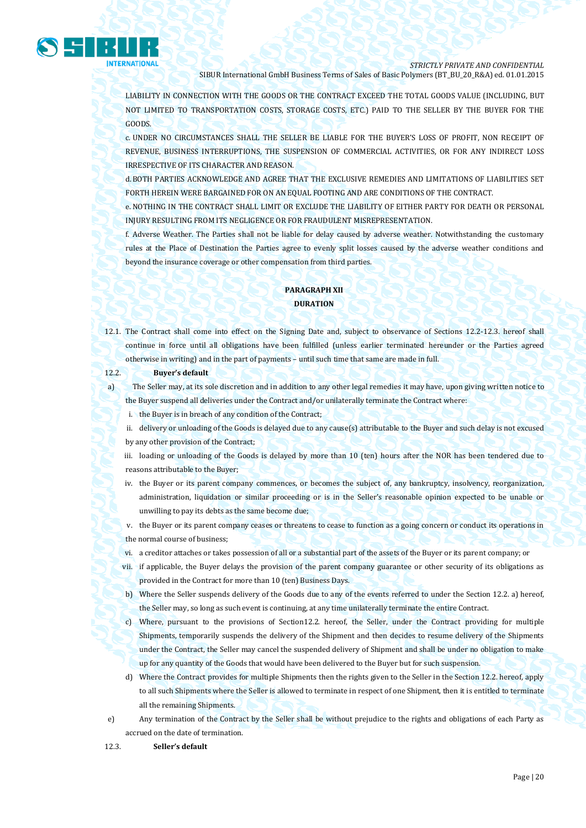

LIABILITY IN CONNECTION WITH THE GOODS OR THE CONTRACT EXCEED THE TOTAL GOODS VALUE (INCLUDING, BUT NOT LIMITED TO TRANSPORTATION COSTS, STORAGE COSTS, ETC.) PAID TO THE SELLER BY THE BUYER FOR THE GOODS.

c. UNDER NO CIRCUMSTANCES SHALL THE SELLER BE LIABLE FOR THE BUYER'S LOSS OF PROFIT, NON RECEIPT OF REVENUE, BUSINESS INTERRUPTIONS, THE SUSPENSION OF COMMERCIAL ACTIVITIES, OR FOR ANY INDIRECT LOSS IRRESPECTIVE OF ITS CHARACTER AND REASON.

d.BOTH PARTIES ACKNOWLEDGE AND AGREE THAT THE EXCLUSIVE REMEDIES AND LIMITATIONS OF LIABILITIES SET FORTH HEREIN WERE BARGAINED FOR ON AN EQUAL FOOTING AND ARE CONDITIONS OF THE CONTRACT.

e. NOTHING IN THE CONTRACT SHALL LIMIT OR EXCLUDE THE LIABILITY OF EITHER PARTY FOR DEATH OR PERSONAL INJURY RESULTING FROM ITS NEGLIGENCE OR FOR FRAUDULENT MISREPRESENTATION.

f. Adverse Weather. The Parties shall not be liable for delay caused by adverse weather. Notwithstanding the customary rules at the Place of Destination the Parties agree to evenly split losses caused by the adverse weather conditions and beyond the insurance coverage or other compensation from third parties.

# **PARAGRAPH XII DURATION**

- 12.1. The Contract shall come into effect on the Signing Date and, subject to observance of Sections 12.2-12.3. hereof shall continue in force until all obligations have been fulfilled (unless earlier terminated hereunder or the Parties agreed otherwise in writing) and in the part of payments – until such time that same are made in full.
- 12.2. **Buyer's default**

a) The Seller may, at its sole discretion and in addition to any other legal remedies it may have, upon giving written notice to the Buyer suspend all deliveries under the Contract and/or unilaterally terminate the Contract where:

i. the Buyer is in breach of any condition of the Contract;

- ii. delivery or unloading of the Goods is delayed due to any cause(s) attributable to the Buyer and such delay is not excused by any other provision of the Contract;
- iii. loading or unloading of the Goods is delayed by more than 10 (ten) hours after the NOR has been tendered due to reasons attributable to the Buyer;
- iv. the Buyer or its parent company commences, or becomes the subject of, any bankruptcy, insolvency, reorganization, administration, liquidation or similar proceeding or is in the Seller's reasonable opinion expected to be unable or unwilling to pay its debts as the same become due;

v. the Buyer or its parent company ceases or threatens to cease to function as a going concern or conduct its operations in the normal course of business;

- vi. a creditor attaches or takes possession of all or a substantial part of the assets of the Buyer or its parent company; or
- vii. if applicable, the Buyer delays the provision of the parent company guarantee or other security of its obligations as provided in the Contract for more than 10 (ten) Business Days.
- b) Where the Seller suspends delivery of the Goods due to any of the events referred to under the Section 12.2. a) hereof, the Seller may, so long as such event is continuing, at any time unilaterally terminate the entire Contract.
- c) Where, pursuant to the provisions of Section12.2. hereof, the Seller, under the Contract providing for multiple Shipments, temporarily suspends the delivery of the Shipment and then decides to resume delivery of the Shipments under the Contract, the Seller may cancel the suspended delivery of Shipment and shall be under no obligation to make up for any quantity of the Goods that would have been delivered to the Buyer but for such suspension.
- d) Where the Contract provides for multiple Shipments then the rights given to the Seller in the Section 12.2. hereof, apply to all such Shipments where the Seller is allowed to terminate in respect of one Shipment, then it is entitled to terminate all the remaining Shipments.
- e) Any termination of the Contract by the Seller shall be without prejudice to the rights and obligations of each Party as accrued on the date of termination.
- 12.3. **Seller's default**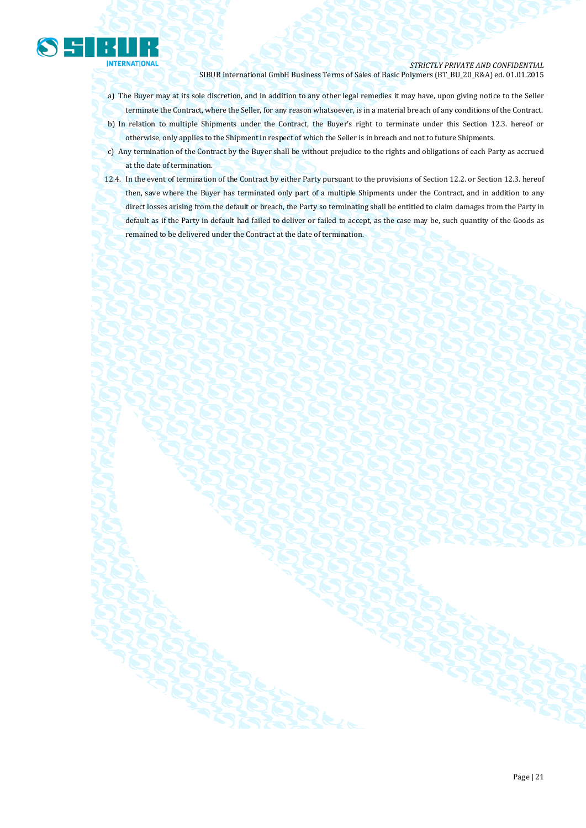

- a) The Buyer may at its sole discretion, and in addition to any other legal remedies it may have, upon giving notice to the Seller terminate the Contract, where the Seller, for any reason whatsoever, is in a material breach of any conditions of the Contract.
- b) In relation to multiple Shipments under the Contract, the Buyer's right to terminate under this Section 12.3. hereof or otherwise, only applies to the Shipment in respect of which the Seller is in breach and not to future Shipments.
- c) Any termination of the Contract by the Buyer shall be without prejudice to the rights and obligations of each Party as accrued at the date of termination.
- 12.4. In the event of termination of the Contract by either Party pursuant to the provisions of Section 12.2. or Section 12.3. hereof then, save where the Buyer has terminated only part of a multiple Shipments under the Contract, and in addition to any direct losses arising from the default or breach, the Party so terminating shall be entitled to claim damages from the Party in default as if the Party in default had failed to deliver or failed to accept, as the case may be, such quantity of the Goods as remained to be delivered under the Contract at the date of termination.

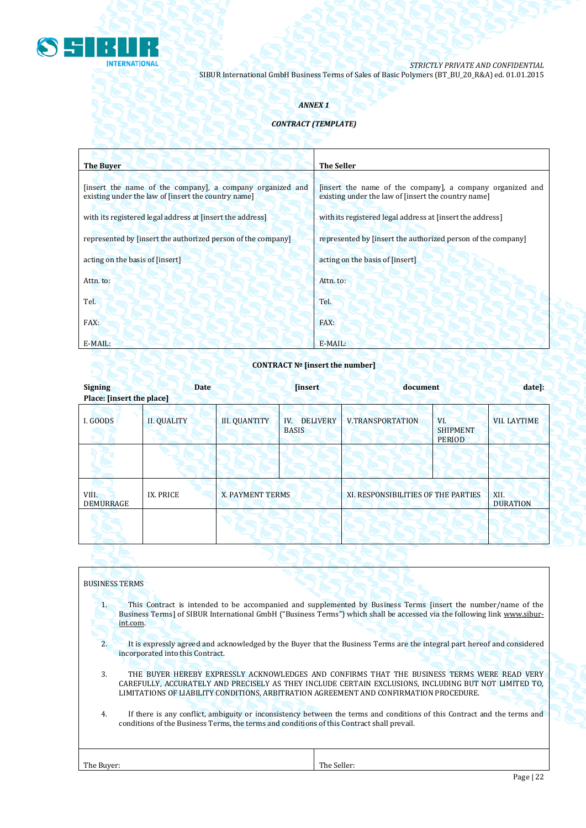

# *ANNEX 1*

# *CONTRACT (TEMPLATE)*

| <b>The Buyer</b>                                                                                                 | <b>The Seller</b>                                                                                                |  |  |
|------------------------------------------------------------------------------------------------------------------|------------------------------------------------------------------------------------------------------------------|--|--|
| [insert the name of the company], a company organized and<br>existing under the law of [insert the country name] | [insert the name of the company], a company organized and<br>existing under the law of [insert the country name] |  |  |
| with its registered legal address at finsert the address                                                         | with its registered legal address at [insert the address]                                                        |  |  |
| represented by [insert the authorized person of the company]                                                     | represented by [insert the authorized person of the company]                                                     |  |  |
| acting on the basis of [insert]                                                                                  | acting on the basis of [insert]                                                                                  |  |  |
| Attn. to:                                                                                                        | Attn. to:                                                                                                        |  |  |
| Tel.                                                                                                             | Tel.                                                                                                             |  |  |
| FAX:                                                                                                             | FAX:                                                                                                             |  |  |
| E-MAIL:                                                                                                          | $E-MAIL:$                                                                                                        |  |  |

# **CONTRACT № [insert the number]**

| <b>Signing</b><br>Place: [insert the place] | <b>Date</b>        | <b>linsert</b>          |                                        | document                            |                                         | date]:                  |
|---------------------------------------------|--------------------|-------------------------|----------------------------------------|-------------------------------------|-----------------------------------------|-------------------------|
| I. GOODS                                    | <b>II. QUALITY</b> | <b>III. QUANTITY</b>    | <b>DELIVERY</b><br>IV.<br><b>BASIS</b> | <b>V.TRANSPORTATION</b>             | VI.<br><b>SHIPMENT</b><br><b>PERIOD</b> | <b>VII. LAYTIME</b>     |
|                                             |                    |                         |                                        |                                     |                                         |                         |
| VIII.<br><b>DEMURRAGE</b>                   | IX. PRICE          | <b>X. PAYMENT TERMS</b> |                                        | XI. RESPONSIBILITIES OF THE PARTIES |                                         | XII.<br><b>DURATION</b> |
|                                             |                    |                         |                                        |                                     |                                         |                         |

|            | <b>BUSINESS TERMS</b>                                                                                                                                                                                                                                                                          |
|------------|------------------------------------------------------------------------------------------------------------------------------------------------------------------------------------------------------------------------------------------------------------------------------------------------|
| 1.         | This Contract is intended to be accompanied and supplemented by Business Terms [insert the number/name of the<br>Business Terms] of SIBUR International GmbH ("Business Terms") which shall be accessed via the following link www.sibur-<br>int.com.                                          |
| 2.         | It is expressly agreed and acknowledged by the Buyer that the Business Terms are the integral part hereof and considered<br>incorporated into this Contract.                                                                                                                                   |
| 3.         | THE BUYER HEREBY EXPRESSLY ACKNOWLEDGES AND CONFIRMS THAT THE BUSINESS TERMS WERE READ VERY<br>CAREFULLY, ACCURATELY AND PRECISELY AS THEY INCLUDE CERTAIN EXCLUSIONS, INCLUDING BUT NOT LIMITED TO,<br>LIMITATIONS OF LIABILITY CONDITIONS, ARBITRATION AGREEMENT AND CONFIRMATION PROCEDURE. |
| 4.         | If there is any conflict, ambiguity or inconsistency between the terms and conditions of this Contract and the terms and<br>conditions of the Business Terms, the terms and conditions of this Contract shall prevail.                                                                         |
| The Buver: | The Seller:                                                                                                                                                                                                                                                                                    |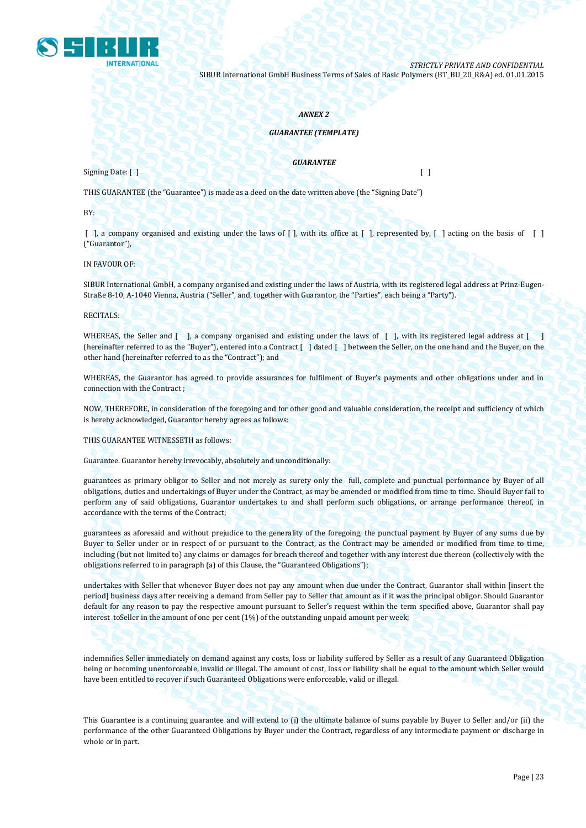

### *ANNEX 2*

## *GUARANTEE (TEMPLATE)*

Signing Date: [ ] [ ]

*GUARANTEE*

THIS GUARANTEE (the "Guarantee") is made as a deed on the date written above (the "Signing Date")

BY:

 $\lceil$ , a company organised and existing under the laws of  $\lceil$ , with its office at  $\lceil$ , represented by,  $\lceil$ , acting on the basis of  $\lceil$ ("Guarantor"),

IN FAVOUR OF:

SIBUR International GmbH, a company organised and existing under the laws of Austria, with its registered legal address at Prinz-Eugen-Straße 8-10, A-1040 Vienna, Austria ("Seller", and, together with Guarantor, the "Parties", each being a "Party").

RECITALS:

WHEREAS, the Seller and [ ], a company organised and existing under the laws of [ ], with its registered legal address at [ ] (hereinafter referred to as the "Buyer"), entered into a Contract [ ] dated [ ] between the Seller, on the one hand and the Buyer, on the other hand (hereinafter referred to as the "Contract"); and

WHEREAS, the Guarantor has agreed to provide assurances for fulfilment of Buyer's payments and other obligations under and in connection with the Contract ;

NOW, THEREFORE, in consideration of the foregoing and for other good and valuable consideration, the receipt and sufficiency of which is hereby acknowledged, Guarantor hereby agrees as follows:

THIS GUARANTEE WITNESSETH as follows:

Guarantee. Guarantor hereby irrevocably, absolutely and unconditionally:

guarantees as primary obligor to Seller and not merely as surety only the full, complete and punctual performance by Buyer of all obligations, duties and undertakings of Buyer under the Contract, as may be amended or modified from time to time. Should Buyer fail to perform any of said obligations, Guarantor undertakes to and shall perform such obligations, or arrange performance thereof, in accordance with the terms of the Contract;

guarantees as aforesaid and without prejudice to the generality of the foregoing, the punctual payment by Buyer of any sums due by Buyer to Seller under or in respect of or pursuant to the Contract, as the Contract may be amended or modified from time to time, including (but not limited to) any claims or damages for breach thereof and together with any interest due thereon (collectively with the obligations referred to in paragraph (a) of this Clause, the "Guaranteed Obligations");

undertakes with Seller that whenever Buyer does not pay any amount when due under the Contract, Guarantor shall within [insert the period] business days after receiving a demand from Seller pay to Seller that amount as if it was the principal obligor. Should Guarantor default for any reason to pay the respective amount pursuant to Seller's request within the term specified above, Guarantor shall pay interest toSeller in the amount of one per cent (1%) of the outstanding unpaid amount per week;

indemnifies Seller immediately on demand against any costs, loss or liability suffered by Seller as a result of any Guaranteed Obligation being or becoming unenforceable, invalid or illegal. The amount of cost, loss or liability shall be equal to the amount which Seller would have been entitled to recover if such Guaranteed Obligations were enforceable, valid or illegal.

This Guarantee is a continuing guarantee and will extend to (i) the ultimate balance of sums payable by Buyer to Seller and/or (ii) the performance of the other Guaranteed Obligations by Buyer under the Contract, regardless of any intermediate payment or discharge in whole or in part.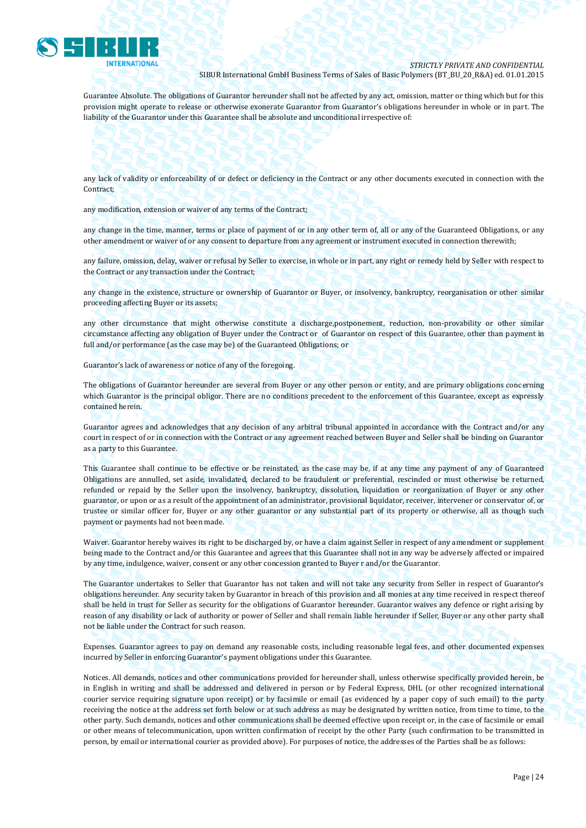

Guarantee Absolute. The obligations of Guarantor hereunder shall not be affected by any act, omission, matter or thing which but for this provision might operate to release or otherwise exonerate Guarantor from Guarantor's obligations hereunder in whole or in part. The liability of the Guarantor under this Guarantee shall be absolute and unconditional irrespective of:

any lack of validity or enforceability of or defect or deficiency in the Contract or any other documents executed in connection with the Contract;

any modification, extension or waiver of any terms of the Contract;

any change in the time, manner, terms or place of payment of or in any other term of, all or any of the Guaranteed Obligations, or any other amendment or waiver of or any consent to departure from any agreement or instrument executed in connection therewith;

any failure, omission, delay, waiver or refusal by Seller to exercise, in whole or in part, any right or remedy held by Seller with respect to the Contract or any transaction under the Contract;

any change in the existence, structure or ownership of Guarantor or Buyer, or insolvency, bankruptcy, reorganisation or other similar proceeding affecting Buyer or its assets;

any other circumstance that might otherwise constitute a discharge,postponement, reduction, non-provability or other similar circumstance affecting any obligation of Buyer under the Contract or of Guarantor on respect of this Guarantee, other than payment in full and/or performance (as the case may be) of the Guaranteed Obligations; or

Guarantor's lack of awareness or notice of any of the foregoing.

The obligations of Guarantor hereunder are several from Buyer or any other person or entity, and are primary obligations concerning which Guarantor is the principal obligor. There are no conditions precedent to the enforcement of this Guarantee, except as expressly contained herein.

Guarantor agrees and acknowledges that any decision of any arbitral tribunal appointed in accordance with the Contract and/or any court in respect of or in connection with the Contract or any agreement reached between Buyer and Seller shall be binding on Guarantor as a party to this Guarantee.

This Guarantee shall continue to be effective or be reinstated, as the case may be, if at any time any payment of any of Guaranteed Obligations are annulled, set aside, invalidated, declared to be fraudulent or preferential, rescinded or must otherwise be returned, refunded or repaid by the Seller upon the insolvency, bankruptcy, dissolution, liquidation or reorganization of Buyer or any other guarantor, or upon or as a result of the appointment of an administrator, provisional liquidator, receiver, intervener or conservator of, or trustee or similar officer for, Buyer or any other guarantor or any substantial part of its property or otherwise, all as though such payment or payments had not been made.

Waiver. Guarantor hereby waives its right to be discharged by, or have a claim against Seller in respect of any amendment or supplement being made to the Contract and/or this Guarantee and agrees that this Guarantee shall not in any way be adversely affected or impaired by any time, indulgence, waiver, consent or any other concession granted to Buyer r and/or the Guarantor.

The Guarantor undertakes to Seller that Guarantor has not taken and will not take any security from Seller in respect of Guarantor's obligations hereunder. Any security taken by Guarantor in breach of this provision and all monies at any time received in respect thereof shall be held in trust for Seller as security for the obligations of Guarantor hereunder. Guarantor waives any defence or right arising by reason of any disability or lack of authority or power of Seller and shall remain liable hereunder if Seller, Buyer or any other party shall not be liable under the Contract for such reason.

Expenses. Guarantor agrees to pay on demand any reasonable costs, including reasonable legal fees, and other documented expenses incurred by Seller in enforcing Guarantor's payment obligations under this Guarantee.

Notices. All demands, notices and other communications provided for hereunder shall, unless otherwise specifically provided herein, be in English in writing and shall be addressed and delivered in person or by Federal Express, DHL (or other recognized international courier service requiring signature upon receipt) or by facsimile or email (as evidenced by a paper copy of such email) to the party receiving the notice at the address set forth below or at such address as may be designated by written notice, from time to time, to the other party. Such demands, notices and other communications shall be deemed effective upon receipt or, in the case of facsimile or email or other means of telecommunication, upon written confirmation of receipt by the other Party (such confirmation to be transmitted in person, by email or international courier as provided above). For purposes of notice, the addresses of the Parties shall be as follows: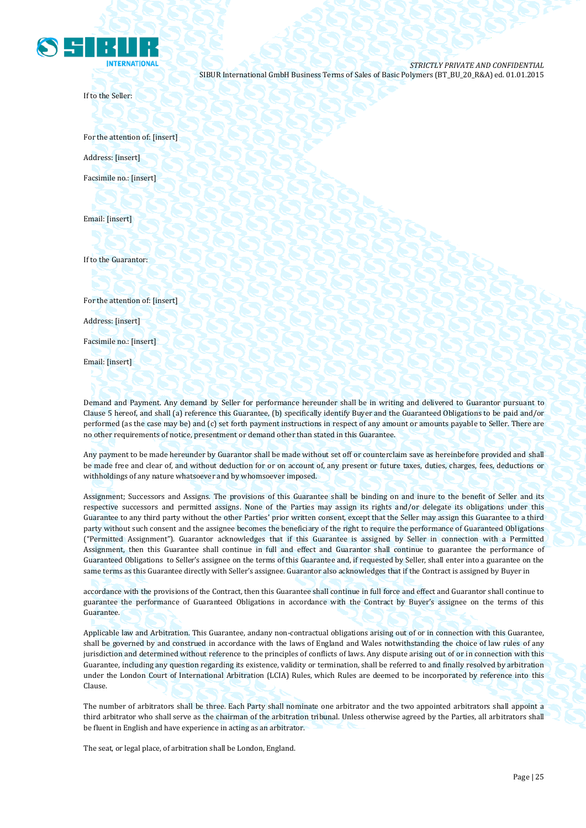

If to the Seller:

For the attention of: [insert] Address: [insert] Facsimile no.: [insert]

Email: [insert]

If to the Guarantor:

For the attention of: [insert]

Address: [insert]

Facsimile no.: [insert]

Email: [insert]

Demand and Payment. Any demand by Seller for performance hereunder shall be in writing and delivered to Guarantor pursuant to Clause 5 hereof, and shall (a) reference this Guarantee, (b) specifically identify Buyer and the Guaranteed Obligations to be paid and/or performed (as the case may be) and (c) set forth payment instructions in respect of any amount or amounts payable to Seller. There are no other requirements of notice, presentment or demand other than stated in this Guarantee.

Any payment to be made hereunder by Guarantor shall be made without set off or counterclaim save as hereinbefore provided and shall be made free and clear of, and without deduction for or on account of, any present or future taxes, duties, charges, fees, deductions or withholdings of any nature whatsoever and by whomsoever imposed.

Assignment; Successors and Assigns. The provisions of this Guarantee shall be binding on and inure to the benefit of Seller and its respective successors and permitted assigns. None of the Parties may assign its rights and/or delegate its obligations under this Guarantee to any third party without the other Parties' prior written consent, except that the Seller may assign this Guarantee to a third party without such consent and the assignee becomes the beneficiary of the right to require the performance of Guaranteed Obligations ("Permitted Assignment"). Guarantor acknowledges that if this Guarantee is assigned by Seller in connection with a Permitted Assignment, then this Guarantee shall continue in full and effect and Guarantor shall continue to guarantee the performance of Guaranteed Obligations to Seller's assignee on the terms of this Guarantee and, if requested by Seller, shall enter into a guarantee on the same terms as this Guarantee directly with Seller's assignee. Guarantor also acknowledges that if the Contract is assigned by Buyer in

accordance with the provisions of the Contract, then this Guarantee shall continue in full force and effect and Guarantor shall continue to guarantee the performance of Guaranteed Obligations in accordance with the Contract by Buyer's assignee on the terms of this Guarantee.

Applicable law and Arbitration. This Guarantee, andany non-contractual obligations arising out of or in connection with this Guarantee, shall be governed by and construed in accordance with the laws of England and Wales notwithstanding the choice of law rules of any jurisdiction and determined without reference to the principles of conflicts of laws. Any dispute arising out of or in connection with this Guarantee, including any question regarding its existence, validity or termination, shall be referred to and finally resolved by arbitration under the London Court of International Arbitration (LCIA) Rules, which Rules are deemed to be incorporated by reference into this Clause.

The number of arbitrators shall be three. Each Party shall nominate one arbitrator and the two appointed arbitrators shall appoint a third arbitrator who shall serve as the chairman of the arbitration tribunal. Unless otherwise agreed by the Parties, all arbitrators shall be fluent in English and have experience in acting as an arbitrator.

The seat, or legal place, of arbitration shall be London, England.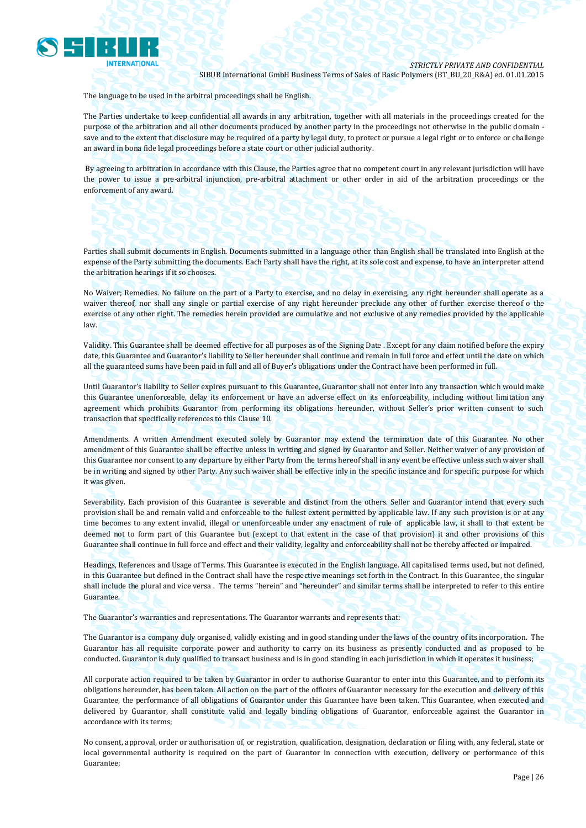

The language to be used in the arbitral proceedings shall be English.

The Parties undertake to keep confidential all awards in any arbitration, together with all materials in the proceedings created for the purpose of the arbitration and all other documents produced by another party in the proceedings not otherwise in the public domain save and to the extent that disclosure may be required of a party by legal duty, to protect or pursue a legal right or to enforce or challenge an award in bona fide legal proceedings before a state court or other judicial authority.

By agreeing to arbitration in accordance with this Clause, the Parties agree that no competent court in any relevant jurisdiction will have the power to issue a pre-arbitral injunction, pre-arbitral attachment or other order in aid of the arbitration proceedings or the enforcement of any award.

Parties shall submit documents in English. Documents submitted in a language other than English shall be translated into English at the expense of the Party submitting the documents. Each Party shall have the right, at its sole cost and expense, to have an interpreter attend the arbitration hearings if it so chooses.

No Waiver; Remedies. No failure on the part of a Party to exercise, and no delay in exercising, any right hereunder shall operate as a waiver thereof, nor shall any single or partial exercise of any right hereunder preclude any other of further exercise thereof o the exercise of any other right. The remedies herein provided are cumulative and not exclusive of any remedies provided by the applicable law.

Validity. This Guarantee shall be deemed effective for all purposes as of the Signing Date . Except for any claim notified before the expiry date, this Guarantee and Guarantor's liability to Seller hereunder shall continue and remain in full force and effect until the date on which all the guaranteed sums have been paid in full and all of Buyer's obligations under the Contract have been performed in full.

Until Guarantor's liability to Seller expires pursuant to this Guarantee, Guarantor shall not enter into any transaction which would make this Guarantee unenforceable, delay its enforcement or have an adverse effect on its enforceability, including without limitation any agreement which prohibits Guarantor from performing its obligations hereunder, without Seller's prior written consent to such transaction that specifically references to this Clause 10.

Amendments. A written Amendment executed solely by Guarantor may extend the termination date of this Guarantee. No other amendment of this Guarantee shall be effective unless in writing and signed by Guarantor and Seller. Neither waiver of any provision of this Guarantee nor consent to any departure by either Party from the terms hereof shall in any event be effective unless such waiver shall be in writing and signed by other Party. Any such waiver shall be effective inly in the specific instance and for specific purpose for which it was given.

Severability. Each provision of this Guarantee is severable and distinct from the others. Seller and Guarantor intend that every such provision shall be and remain valid and enforceable to the fullest extent permitted by applicable law. If any such provision is or at any time becomes to any extent invalid, illegal or unenforceable under any enactment of rule of applicable law, it shall to that extent be deemed not to form part of this Guarantee but (except to that extent in the case of that provision) it and other provisions of this Guarantee shall continue in full force and effect and their validity, legality and enforceability shall not be thereby affected or impaired.

Headings, References and Usage of Terms. This Guarantee is executed in the English language. All capitalised terms used, but not defined, in this Guarantee but defined in the Contract shall have the respective meanings set forth in the Contract. In this Guarantee, the singular shall include the plural and vice versa . The terms "herein" and "hereunder" and similar terms shall be interpreted to refer to this entire Guarantee.

The Guarantor's warranties and representations. The Guarantor warrants and represents that:

The Guarantor is a company duly organised, validly existing and in good standing under the laws of the country of its incorporation. The Guarantor has all requisite corporate power and authority to carry on its business as presently conducted and as proposed to be conducted. Guarantor is duly qualified to transact business and is in good standing in each jurisdiction in which it operates it business;

All corporate action required to be taken by Guarantor in order to authorise Guarantor to enter into this Guarantee, and to perform its obligations hereunder, has been taken. All action on the part of the officers of Guarantor necessary for the execution and delivery of this Guarantee, the performance of all obligations of Guarantor under this Guarantee have been taken. This Guarantee, when executed and delivered by Guarantor, shall constitute valid and legally binding obligations of Guarantor, enforceable against the Guarantor in accordance with its terms;

No consent, approval, order or authorisation of, or registration, qualification, designation, declaration or filing with, any federal, state or local governmental authority is required on the part of Guarantor in connection with execution, delivery or performance of this Guarantee;